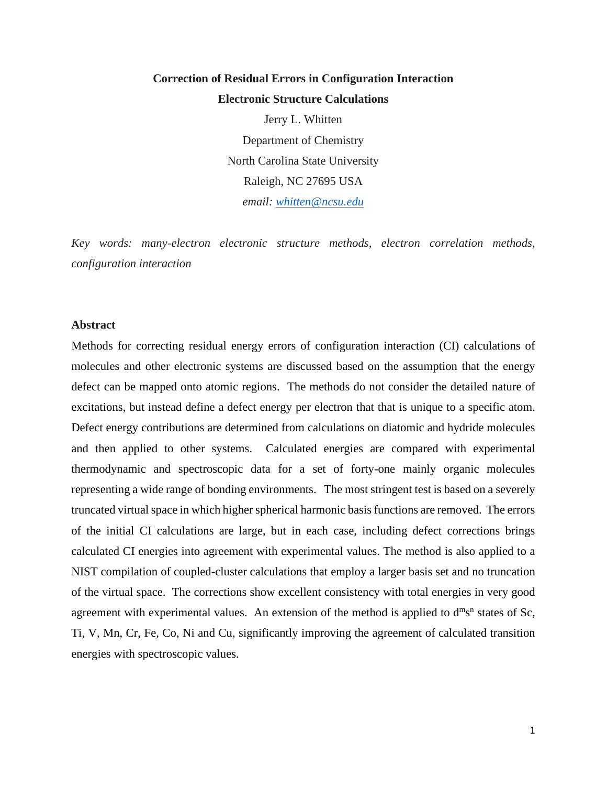# **Correction of Residual Errors in Configuration Interaction Electronic Structure Calculations**

Jerry L. Whitten Department of Chemistry North Carolina State University Raleigh, NC 27695 USA *email: [whitten@ncsu.edu](mailto:whitten@ncsu.edu)*

*Key words: many-electron electronic structure methods, electron correlation methods, configuration interaction*

#### **Abstract**

Methods for correcting residual energy errors of configuration interaction (CI) calculations of molecules and other electronic systems are discussed based on the assumption that the energy defect can be mapped onto atomic regions. The methods do not consider the detailed nature of excitations, but instead define a defect energy per electron that that is unique to a specific atom. Defect energy contributions are determined from calculations on diatomic and hydride molecules and then applied to other systems. Calculated energies are compared with experimental thermodynamic and spectroscopic data for a set of forty-one mainly organic molecules representing a wide range of bonding environments. The most stringent test is based on a severely truncated virtual space in which higher spherical harmonic basis functions are removed. The errors of the initial CI calculations are large, but in each case, including defect corrections brings calculated CI energies into agreement with experimental values. The method is also applied to a NIST compilation of coupled-cluster calculations that employ a larger basis set and no truncation of the virtual space. The corrections show excellent consistency with total energies in very good agreement with experimental values. An extension of the method is applied to  $d^{m}s^{n}$  states of Sc, Ti, V, Mn, Cr, Fe, Co, Ni and Cu, significantly improving the agreement of calculated transition energies with spectroscopic values.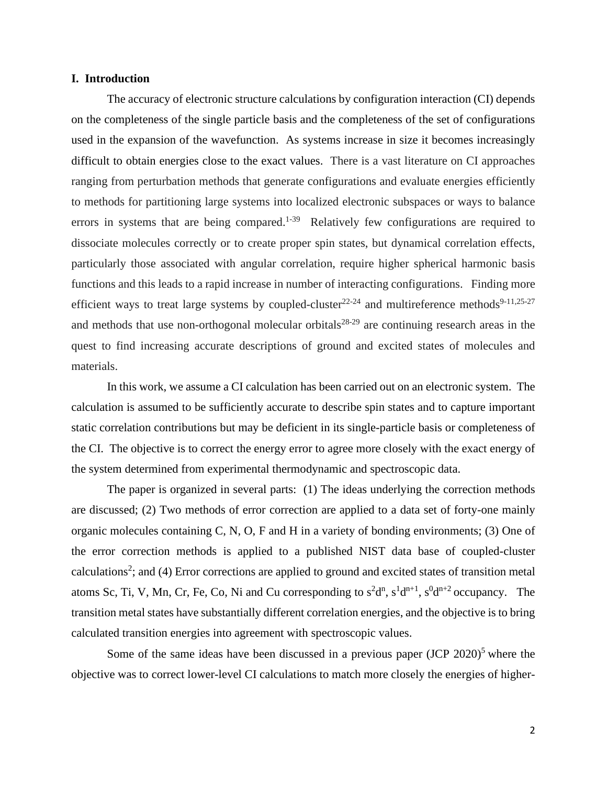### **I. Introduction**

The accuracy of electronic structure calculations by configuration interaction (CI) depends on the completeness of the single particle basis and the completeness of the set of configurations used in the expansion of the wavefunction. As systems increase in size it becomes increasingly difficult to obtain energies close to the exact values. There is a vast literature on CI approaches ranging from perturbation methods that generate configurations and evaluate energies efficiently to methods for partitioning large systems into localized electronic subspaces or ways to balance errors in systems that are being compared.<sup>1-39</sup> Relatively few configurations are required to dissociate molecules correctly or to create proper spin states, but dynamical correlation effects, particularly those associated with angular correlation, require higher spherical harmonic basis functions and this leads to a rapid increase in number of interacting configurations. Finding more efficient ways to treat large systems by coupled-cluster<sup>22-24</sup> and multireference methods<sup>9-11,25-27</sup> and methods that use non-orthogonal molecular orbitals $28-29$  are continuing research areas in the quest to find increasing accurate descriptions of ground and excited states of molecules and materials.

In this work, we assume a CI calculation has been carried out on an electronic system. The calculation is assumed to be sufficiently accurate to describe spin states and to capture important static correlation contributions but may be deficient in its single-particle basis or completeness of the CI. The objective is to correct the energy error to agree more closely with the exact energy of the system determined from experimental thermodynamic and spectroscopic data.

The paper is organized in several parts: (1) The ideas underlying the correction methods are discussed; (2) Two methods of error correction are applied to a data set of forty-one mainly organic molecules containing C, N, O, F and H in a variety of bonding environments; (3) One of the error correction methods is applied to a published NIST data base of coupled-cluster calculations<sup>2</sup>; and (4) Error corrections are applied to ground and excited states of transition metal atoms Sc, Ti, V, Mn, Cr, Fe, Co, Ni and Cu corresponding to  $s^2d^n$ ,  $s^1d^{n+1}$ ,  $s^0d^{n+2}$  occupancy. The transition metal states have substantially different correlation energies, and the objective is to bring calculated transition energies into agreement with spectroscopic values.

Some of the same ideas have been discussed in a previous paper  $(JCP 2020)^5$  where the objective was to correct lower-level CI calculations to match more closely the energies of higher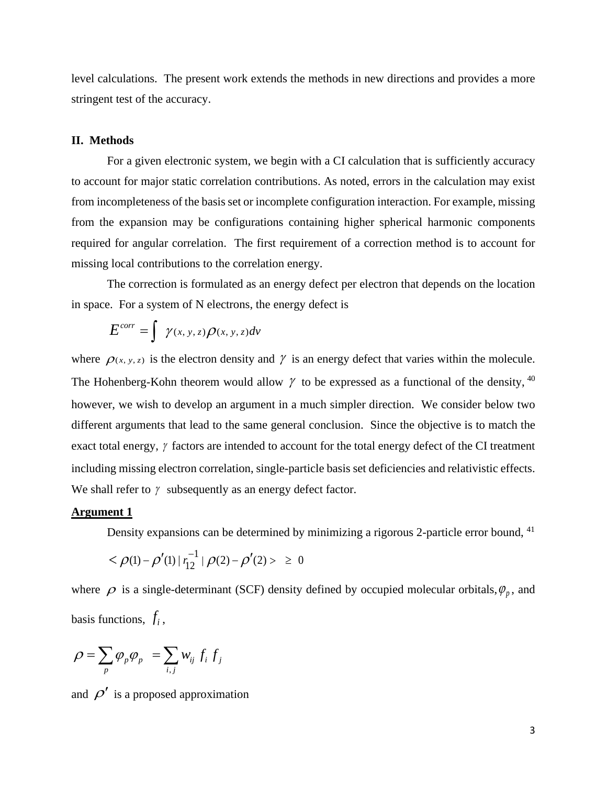level calculations. The present work extends the methods in new directions and provides a more stringent test of the accuracy.

#### **II. Methods**

For a given electronic system, we begin with a CI calculation that is sufficiently accuracy to account for major static correlation contributions. As noted, errors in the calculation may exist from incompleteness of the basis set or incomplete configuration interaction. For example, missing from the expansion may be configurations containing higher spherical harmonic components required for angular correlation. The first requirement of a correction method is to account for missing local contributions to the correlation energy.

The correction is formulated as an energy defect per electron that depends on the location in space. For a system of N electrons, the energy defect is

$$
E^{corr} = \int \gamma(x, y, z) \rho(x, y, z) dv
$$

where  $\rho_{(x, y, z)}$  is the electron density and  $\gamma$  is an energy defect that varies within the molecule. The Hohenberg-Kohn theorem would allow  $\gamma$  to be expressed as a functional of the density, <sup>40</sup> however, we wish to develop an argument in a much simpler direction. We consider below two different arguments that lead to the same general conclusion. Since the objective is to match the exact total energy,  $\gamma$  factors are intended to account for the total energy defect of the CI treatment including missing electron correlation, single-particle basis set deficiencies and relativistic effects. We shall refer to  $\gamma$  subsequently as an energy defect factor.

# **Argument 1**

Density expansions can be determined by minimizing a rigorous 2-particle error bound, <sup>41</sup>

$$
<\rho(1) - \rho'(1) | r_{12}^{-1} | \rho(2) - \rho'(2) > \ge 0
$$

where  $\rho$  is a single-determinant (SCF) density defined by occupied molecular orbitals,  $\varphi_p$ , and basis functions,  $f_i$ ,

$$
\rho = \sum_{p} \varphi_{p} \varphi_{p} = \sum_{i,j} w_{ij} f_{i} f_{j}
$$

and  $\rho'$  is a proposed approximation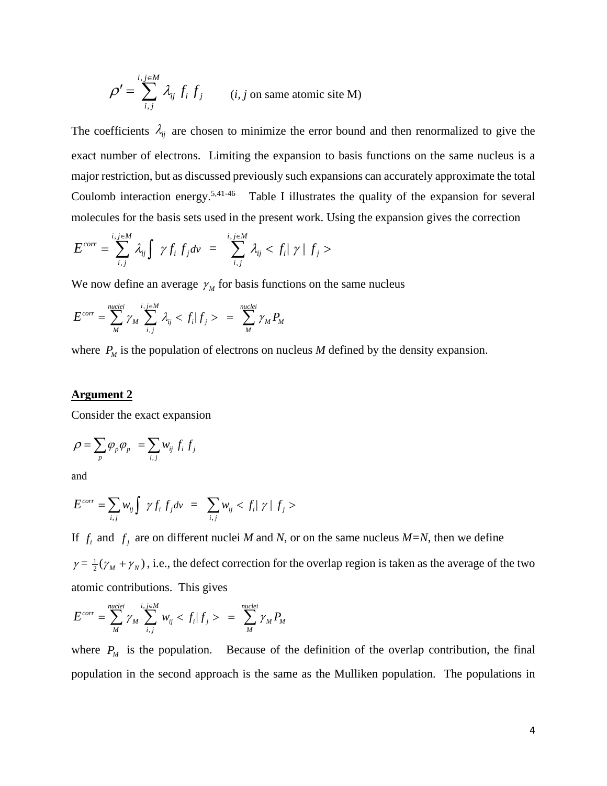$$
\rho' = \sum_{i,j}^{i,j \in M} \lambda_{ij} f_i f_j
$$
 (*i*, *j* on same atomic site M)

The coefficients  $\lambda_{ij}$  are chosen to minimize the error bound and then renormalized to give the exact number of electrons. Limiting the expansion to basis functions on the same nucleus is a major restriction, but as discussed previously such expansions can accurately approximate the total Coulomb interaction energy.<sup>5,41-46</sup> Table I illustrates the quality of the expansion for several molecules for the basis sets used in the present work. Using the expansion gives the correction

$$
E^{corr} = \sum_{i,j}^{i,j \in M} \lambda_{ij} \int \gamma f_i f_j dv = \sum_{i,j}^{i,j \in M} \lambda_{ij} < f_i |\gamma| f_j > \sqrt{\sum_{i,j}^2 \sum_{j=1}^{i,j} \sum_{j=1}^{j} \sum_{j=1}^{j} \sum_{j=1}^{j} \gamma f_j}
$$

We now define an average  $\gamma_M$  for basis functions on the same nucleus

$$
E^{corr} = \sum_{M}^{nuclei} \gamma_M \sum_{i,j}^{i,j \in M} \lambda_{ij} < f_i | f_j > = \sum_{M}^{nuclei} \gamma_M P_M
$$

where  $P_M$  is the population of electrons on nucleus  $M$  defined by the density expansion.

# **Argument 2**

Consider the exact expansion

$$
\rho = \sum_{p} \varphi_{p} \varphi_{p} = \sum_{i,j} w_{ij} f_{i} f_{j}
$$

and

$$
E^{corr} = \sum_{i,j} w_{ij} \int \gamma f_i f_j dv = \sum_{i,j} w_{ij} < f_i \mid \gamma \mid f_j > \frac{1}{2} \int \gamma f_j dv
$$

If  $f_i$  and  $f_j$  are on different nuclei *M* and *N*, or on the same nucleus *M*=*N*, then we define  $\gamma = \frac{1}{2}(\gamma_M + \gamma_N)$ , i.e., the defect correction for the overlap region is taken as the average of the two atomic contributions. This gives

$$
E^{corr} = \sum_{M}^{nuclei} \gamma_M \sum_{i,j}^{i,j \in M} w_{ij} < f_i | f_j > = \sum_{M}^{nuclei} \gamma_M P_M
$$

where  $P_M$  is the population. Because of the definition of the overlap contribution, the final population in the second approach is the same as the Mulliken population. The populations in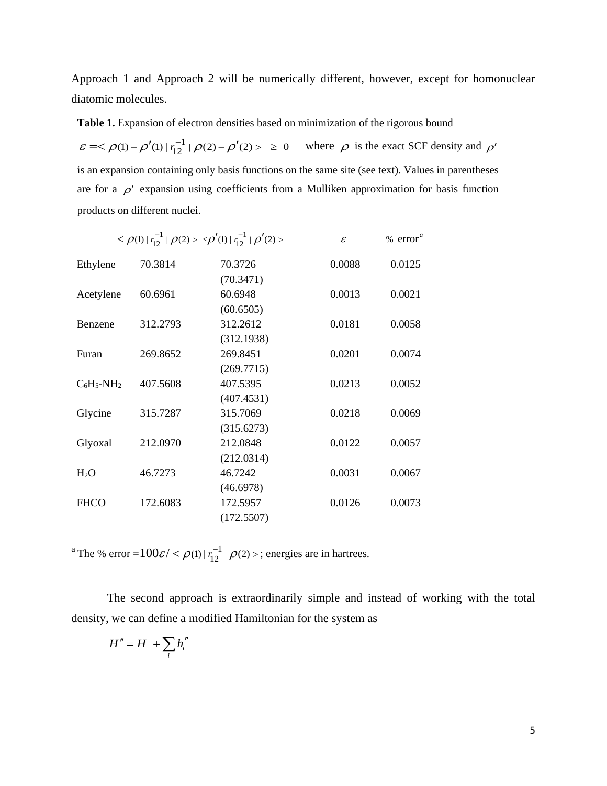Approach 1 and Approach 2 will be numerically different, however, except for homonuclear diatomic molecules.

**Table 1.** Expansion of electron densities based on minimization of the rigorous bound

 $\mathcal{E} = \langle \rho(1) - \rho'(1) | r_1^{-1} | \rho(2) - \rho'(2) \rangle \ge 0$  where  $\rho$  is the exact SCF density and  $\rho'$ is an expansion containing only basis functions on the same site (see text). Values in parentheses are for a  $\rho'$  expansion using coefficients from a Mulliken approximation for basis function products on different nuclei.

|                  |          | $<\rho(1)  r_{12}^{-1} \rho(2) > \langle \rho'(1)  r_{12}^{-1} \rho'(2) >$ | % $errora$<br>$\mathcal{E}$ |        |  |
|------------------|----------|----------------------------------------------------------------------------|-----------------------------|--------|--|
| Ethylene         | 70.3814  | 70.3726                                                                    | 0.0088                      | 0.0125 |  |
|                  |          | (70.3471)                                                                  |                             |        |  |
| Acetylene        | 60.6961  | 60.6948                                                                    | 0.0013                      | 0.0021 |  |
|                  |          | (60.6505)                                                                  |                             |        |  |
| Benzene          | 312.2793 | 312.2612                                                                   | 0.0181                      | 0.0058 |  |
|                  |          | (312.1938)                                                                 |                             |        |  |
| Furan            | 269.8652 | 269.8451                                                                   | 0.0201                      | 0.0074 |  |
|                  |          | (269.7715)                                                                 |                             |        |  |
| $C_6H_5-NH_2$    | 407.5608 | 407.5395                                                                   | 0.0213                      | 0.0052 |  |
|                  |          | (407.4531)                                                                 |                             |        |  |
| Glycine          | 315.7287 | 315.7069                                                                   | 0.0218                      | 0.0069 |  |
|                  |          | (315.6273)                                                                 |                             |        |  |
| Glyoxal          | 212.0970 | 212.0848                                                                   | 0.0122                      | 0.0057 |  |
|                  |          | (212.0314)                                                                 |                             |        |  |
| H <sub>2</sub> O | 46.7273  | 46.7242                                                                    | 0.0031                      | 0.0067 |  |
|                  |          | (46.6978)                                                                  |                             |        |  |
| <b>FHCO</b>      | 172.6083 | 172.5957                                                                   | 0.0126                      | 0.0073 |  |
|                  |          | (172.5507)                                                                 |                             |        |  |

<sup>a</sup> The % error =  $100\varepsilon / <\rho(1) |r_{12}^{-1}|\rho(2)$  >; energies are in hartrees.

The second approach is extraordinarily simple and instead of working with the total density, we can define a modified Hamiltonian for the system as

$$
H''=H+\sum_i h_i''
$$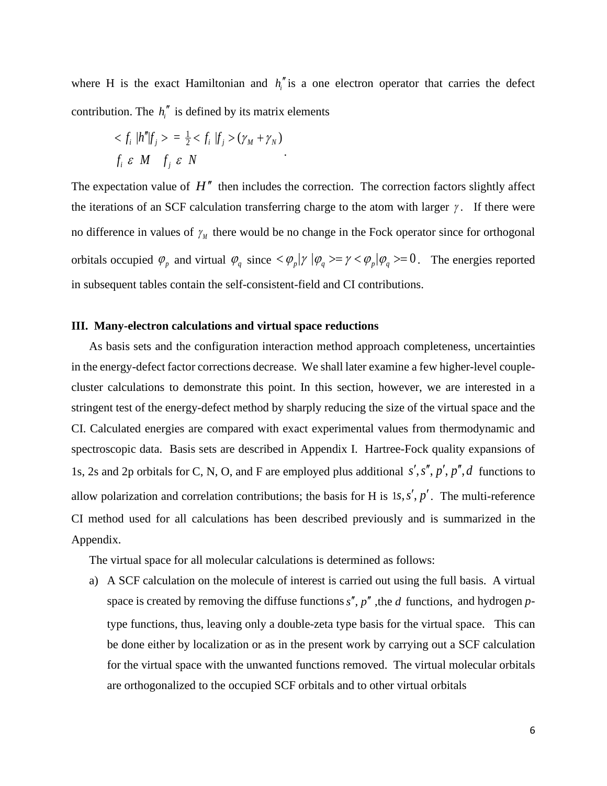where H is the exact Hamiltonian and  $h_i^{\prime\prime}$  is a one electron operator that carries the defect contribution. The  $h_i''$  is defined by its matrix elements

$$
\langle f_i | h'' | f_j \rangle = \frac{1}{2} \langle f_i | f_j \rangle (\gamma_M + \gamma_N)
$$
  

$$
f_i \varepsilon M \quad f_j \varepsilon N
$$

The expectation value of  $H''$  then includes the correction. The correction factors slightly affect the iterations of an SCF calculation transferring charge to the atom with larger  $\gamma$ . If there were no difference in values of  $\gamma_M$  there would be no change in the Fock operator since for orthogonal orbitals occupied  $\varphi_p$  and virtual  $\varphi_q$  since  $\langle \varphi_p | \gamma | \varphi_q \rangle = \gamma \langle \varphi_p | \varphi_q \rangle = 0$ . The energies reported in subsequent tables contain the self-consistent-field and CI contributions.

#### **III. Many-electron calculations and virtual space reductions**

As basis sets and the configuration interaction method approach completeness, uncertainties in the energy-defect factor corrections decrease. We shall later examine a few higher-level couplecluster calculations to demonstrate this point. In this section, however, we are interested in a stringent test of the energy-defect method by sharply reducing the size of the virtual space and the CI. Calculated energies are compared with exact experimental values from thermodynamic and spectroscopic data. Basis sets are described in Appendix I. Hartree-Fock quality expansions of 1s, 2s and 2p orbitals for C, N, O, and F are employed plus additional  $s'$ ,  $s''$ ,  $p'$ ,  $p''$ , d functions to allow polarization and correlation contributions; the basis for H is  $1s, s', p'$ . The multi-reference CI method used for all calculations has been described previously and is summarized in the Appendix.

The virtual space for all molecular calculations is determined as follows:

a) A SCF calculation on the molecule of interest is carried out using the full basis. A virtual space is created by removing the diffuse functions  $s''$ ,  $p''$ , the *d* functions, and hydrogen *p*type functions, thus, leaving only a double-zeta type basis for the virtual space. This can be done either by localization or as in the present work by carrying out a SCF calculation for the virtual space with the unwanted functions removed. The virtual molecular orbitals are orthogonalized to the occupied SCF orbitals and to other virtual orbitals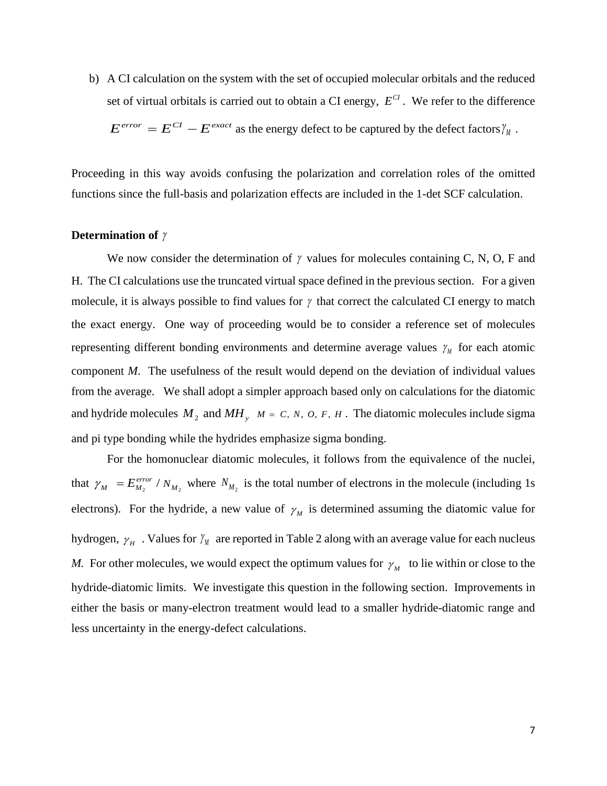b) A CI calculation on the system with the set of occupied molecular orbitals and the reduced set of virtual orbitals is carried out to obtain a CI energy,  $E^{CI}$ . We refer to the difference  $E^{error} = E^{CI} - E^{exact}$  as the energy defect to be captured by the defect factors  $\gamma_M$ .

Proceeding in this way avoids confusing the polarization and correlation roles of the omitted functions since the full-basis and polarization effects are included in the 1-det SCF calculation.

#### **Determination of** γ

We now consider the determination of  $\gamma$  values for molecules containing C, N, O, F and H. The CI calculations use the truncated virtual space defined in the previous section. For a given molecule, it is always possible to find values for  $\gamma$  that correct the calculated CI energy to match the exact energy. One way of proceeding would be to consider a reference set of molecules representing different bonding environments and determine average values  $γ<sub>M</sub>$  for each atomic component *M*. The usefulness of the result would depend on the deviation of individual values from the average. We shall adopt a simpler approach based only on calculations for the diatomic and hydride molecules  $M_2$  and  $MH_y$ ,  $M = C, N, O, F, H$ . The diatomic molecules include sigma and pi type bonding while the hydrides emphasize sigma bonding.

For the homonuclear diatomic molecules, it follows from the equivalence of the nuclei, that  $\gamma_M = E_{M_2}^{error} / N_{M_2}$  where  $N_{M_2}$  is the total number of electrons in the molecule (including 1s electrons). For the hydride, a new value of  $\gamma_M$  is determined assuming the diatomic value for hydrogen,  $\gamma_{H}$ . Values for  $\gamma_{M}$  are reported in Table 2 along with an average value for each nucleus *M*. For other molecules, we would expect the optimum values for  $\gamma_M$  to lie within or close to the hydride-diatomic limits. We investigate this question in the following section. Improvements in either the basis or many-electron treatment would lead to a smaller hydride-diatomic range and less uncertainty in the energy-defect calculations.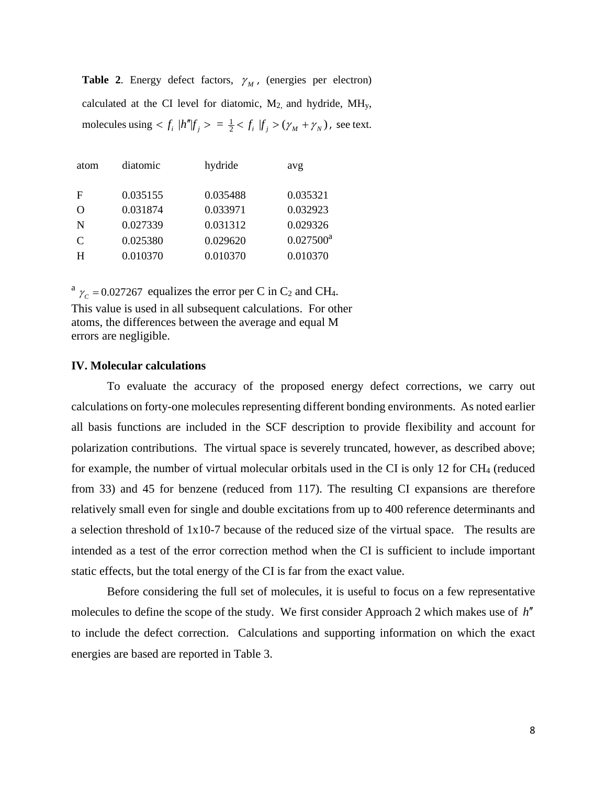**Table 2.** Energy defect factors,  $\gamma_M$ , (energies per electron) calculated at the CI level for diatomic, M2, and hydride, MHy, molecules using  $\langle f_i | h'' | f_j \rangle = \frac{1}{2} \langle f_i | f_j \rangle (\gamma_M + \gamma_N)$ , see text.

| atom | diatomic | hydride  | avg          |
|------|----------|----------|--------------|
| F    | 0.035155 | 0.035488 | 0.035321     |
| Ω    | 0.031874 | 0.033971 | 0.032923     |
| N    | 0.027339 | 0.031312 | 0.029326     |
| C    | 0.025380 | 0.029620 | $0.027500^a$ |
| H    | 0.010370 | 0.010370 | 0.010370     |
|      |          |          |              |

 $a_{\gamma_c} = 0.027267$  equalizes the error per C in C<sub>2</sub> and CH<sub>4</sub>. This value is used in all subsequent calculations. For other

atoms, the differences between the average and equal M errors are negligible.

# **IV. Molecular calculations**

To evaluate the accuracy of the proposed energy defect corrections, we carry out calculations on forty-one molecules representing different bonding environments. As noted earlier all basis functions are included in the SCF description to provide flexibility and account for polarization contributions. The virtual space is severely truncated, however, as described above; for example, the number of virtual molecular orbitals used in the CI is only 12 for  $CH_4$  (reduced from 33) and 45 for benzene (reduced from 117). The resulting CI expansions are therefore relatively small even for single and double excitations from up to 400 reference determinants and a selection threshold of 1x10-7 because of the reduced size of the virtual space. The results are intended as a test of the error correction method when the CI is sufficient to include important static effects, but the total energy of the CI is far from the exact value.

Before considering the full set of molecules, it is useful to focus on a few representative molecules to define the scope of the study. We first consider Approach 2 which makes use of *h*′′ to include the defect correction. Calculations and supporting information on which the exact energies are based are reported in Table 3.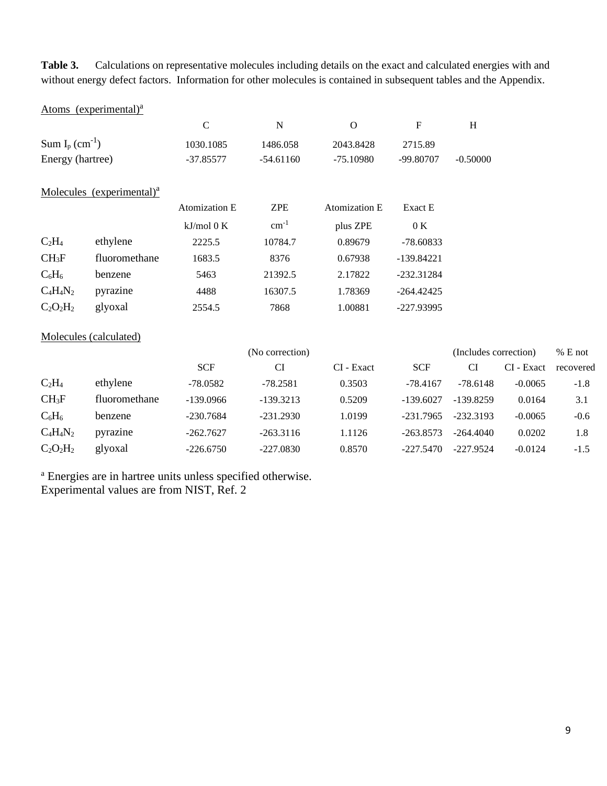**Table 3.** Calculations on representative molecules including details on the exact and calculated energies with and without energy defect factors. Information for other molecules is contained in subsequent tables and the Appendix.

|                               | Atoms (experimental) <sup>a</sup>     |               |             |               |              |            |
|-------------------------------|---------------------------------------|---------------|-------------|---------------|--------------|------------|
|                               |                                       | $\mathcal{C}$ | N           | $\Omega$      | $\mathbf{F}$ | H          |
| Sum $I_p$ (cm <sup>-1</sup> ) |                                       | 1030.1085     | 1486.058    | 2043.8428     | 2715.89      |            |
| Energy (hartree)              |                                       | $-37.85577$   | $-54.61160$ | $-75.10980$   | -99.80707    | $-0.50000$ |
|                               |                                       |               |             |               |              |            |
|                               | Molecules (experimental) <sup>a</sup> |               |             |               |              |            |
|                               |                                       | Atomization E | <b>ZPE</b>  | Atomization E | Exact E      |            |
|                               |                                       | $kJ/mol$ 0 K  | $cm^{-1}$   | plus ZPE      | 0 K          |            |
| $C_2H_4$                      | ethylene                              | 2225.5        | 10784.7     | 0.89679       | $-78.60833$  |            |
| CH <sub>3</sub> F             | fluoromethane                         | 1683.5        | 8376        | 0.67938       | -139.84221   |            |
| $C_6H_6$                      | benzene                               | 5463          | 21392.5     | 2.17822       | $-232.31284$ |            |
| $C_4H_4N_2$                   | pyrazine                              | 4488          | 16307.5     | 1.78369       | -264.42425   |            |
| $C_2O_2H_2$                   | glyoxal                               | 2554.5        | 7868        | 1.00881       | -227.93995   |            |

# Molecules (calculated)

|             |               |             | (No correction) |            |             | (Includes correction) | $%$ E not  |           |
|-------------|---------------|-------------|-----------------|------------|-------------|-----------------------|------------|-----------|
|             |               | <b>SCF</b>  | CI              | CI - Exact | <b>SCF</b>  | CI                    | CI - Exact | recovered |
| $C_2H_4$    | ethylene      | $-78.0582$  | $-78.2581$      | 0.3503     | $-78.4167$  | $-78.6148$            | $-0.0065$  | $-1.8$    |
| $CH_3F$     | fluoromethane | $-139.0966$ | $-139.3213$     | 0.5209     | $-139.6027$ | -139.8259             | 0.0164     | 3.1       |
| $C_6H_6$    | benzene       | $-230.7684$ | $-231.2930$     | 1.0199     | $-231.7965$ | $-232.3193$           | $-0.0065$  | $-0.6$    |
| $C_4H_4N_2$ | pyrazine      | $-262.7627$ | $-263.3116$     | 1.1126     | $-263.8573$ | $-264.4040$           | 0.0202     | 1.8       |
| $C_2O_2H_2$ | glyoxal       | $-226.6750$ | $-227.0830$     | 0.8570     | $-227.5470$ | $-227.9524$           | $-0.0124$  | $-1.5$    |

<sup>a</sup> Energies are in hartree units unless specified otherwise.

Experimental values are from NIST, Ref. 2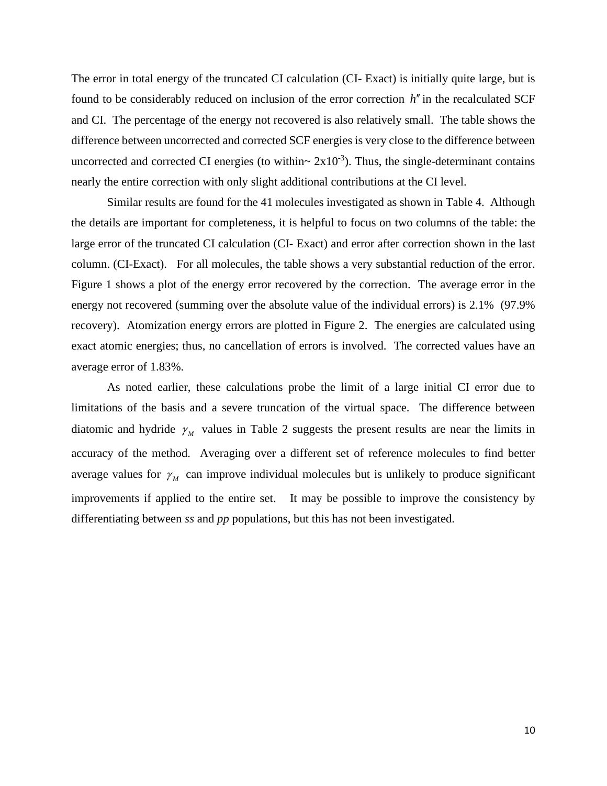The error in total energy of the truncated CI calculation (CI- Exact) is initially quite large, but is found to be considerably reduced on inclusion of the error correction *h*′′ in the recalculated SCF and CI. The percentage of the energy not recovered is also relatively small. The table shows the difference between uncorrected and corrected SCF energies is very close to the difference between uncorrected and corrected CI energies (to within $\sim 2x10^{-3}$ ). Thus, the single-determinant contains nearly the entire correction with only slight additional contributions at the CI level.

Similar results are found for the 41 molecules investigated as shown in Table 4. Although the details are important for completeness, it is helpful to focus on two columns of the table: the large error of the truncated CI calculation (CI- Exact) and error after correction shown in the last column. (CI-Exact). For all molecules, the table shows a very substantial reduction of the error. Figure 1 shows a plot of the energy error recovered by the correction. The average error in the energy not recovered (summing over the absolute value of the individual errors) is 2.1% (97.9% recovery). Atomization energy errors are plotted in Figure 2. The energies are calculated using exact atomic energies; thus, no cancellation of errors is involved. The corrected values have an average error of 1.83%.

As noted earlier, these calculations probe the limit of a large initial CI error due to limitations of the basis and a severe truncation of the virtual space. The difference between diatomic and hydride  $\gamma_M$  values in Table 2 suggests the present results are near the limits in accuracy of the method. Averaging over a different set of reference molecules to find better average values for  $\gamma_M$  can improve individual molecules but is unlikely to produce significant improvements if applied to the entire set. It may be possible to improve the consistency by differentiating between *ss* and *pp* populations, but this has not been investigated.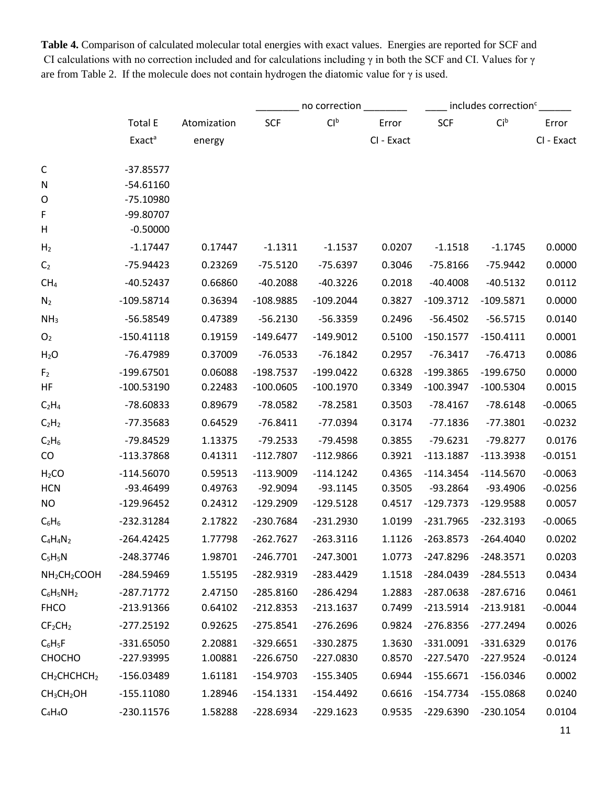**Table 4.** Comparison of calculated molecular total energies with exact values. Energies are reported for SCF and CI calculations with no correction included and for calculations including  $\gamma$  in both the SCF and CI. Values for  $\gamma$ are from Table 2. If the molecule does not contain hydrogen the diatomic value for  $\gamma$  is used.

|                                      |                    |             |             | no correction   |            |             | includes correction <sup>c</sup> |            |
|--------------------------------------|--------------------|-------------|-------------|-----------------|------------|-------------|----------------------------------|------------|
|                                      | <b>Total E</b>     | Atomization | <b>SCF</b>  | Cl <sup>b</sup> | Error      | <b>SCF</b>  | Ci <sup>b</sup>                  | Error      |
|                                      | Exact <sup>a</sup> | energy      |             |                 | CI - Exact |             |                                  | CI - Exact |
| C                                    | $-37.85577$        |             |             |                 |            |             |                                  |            |
| N                                    | $-54.61160$        |             |             |                 |            |             |                                  |            |
| O                                    | $-75.10980$        |             |             |                 |            |             |                                  |            |
| F                                    | -99.80707          |             |             |                 |            |             |                                  |            |
| Н                                    | $-0.50000$         |             |             |                 |            |             |                                  |            |
| H <sub>2</sub>                       | $-1.17447$         | 0.17447     | $-1.1311$   | $-1.1537$       | 0.0207     | $-1.1518$   | $-1.1745$                        | 0.0000     |
| C <sub>2</sub>                       | -75.94423          | 0.23269     | $-75.5120$  | $-75.6397$      | 0.3046     | $-75.8166$  | $-75.9442$                       | 0.0000     |
| CH <sub>4</sub>                      | $-40.52437$        | 0.66860     | $-40.2088$  | $-40.3226$      | 0.2018     | $-40.4008$  | $-40.5132$                       | 0.0112     |
| N <sub>2</sub>                       | $-109.58714$       | 0.36394     | $-108.9885$ | $-109.2044$     | 0.3827     | $-109.3712$ | $-109.5871$                      | 0.0000     |
| NH <sub>3</sub>                      | -56.58549          | 0.47389     | $-56.2130$  | $-56.3359$      | 0.2496     | $-56.4502$  | $-56.5715$                       | 0.0140     |
| O <sub>2</sub>                       | $-150.41118$       | 0.19159     | $-149.6477$ | $-149.9012$     | 0.5100     | $-150.1577$ | $-150.4111$                      | 0.0001     |
| H <sub>2</sub> O                     | -76.47989          | 0.37009     | $-76.0533$  | $-76.1842$      | 0.2957     | $-76.3417$  | $-76.4713$                       | 0.0086     |
| F <sub>2</sub>                       | $-199.67501$       | 0.06088     | $-198.7537$ | $-199.0422$     | 0.6328     | -199.3865   | $-199.6750$                      | 0.0000     |
| HF                                   | $-100.53190$       | 0.22483     | $-100.0605$ | $-100.1970$     | 0.3349     | $-100.3947$ | $-100.5304$                      | 0.0015     |
| $C_2H_4$                             | -78.60833          | 0.89679     | -78.0582    | $-78.2581$      | 0.3503     | $-78.4167$  | $-78.6148$                       | $-0.0065$  |
| $C_2H_2$                             | -77.35683          | 0.64529     | $-76.8411$  | $-77.0394$      | 0.3174     | $-77.1836$  | $-77.3801$                       | $-0.0232$  |
| $C_2H_6$                             | -79.84529          | 1.13375     | $-79.2533$  | $-79.4598$      | 0.3855     | $-79.6231$  | $-79.8277$                       | 0.0176     |
| CO                                   | -113.37868         | 0.41311     | $-112.7807$ | $-112.9866$     | 0.3921     | $-113.1887$ | $-113.3938$                      | $-0.0151$  |
| H <sub>2</sub> CO                    | $-114.56070$       | 0.59513     | $-113.9009$ | $-114.1242$     | 0.4365     | $-114.3454$ | $-114.5670$                      | $-0.0063$  |
| <b>HCN</b>                           | -93.46499          | 0.49763     | $-92.9094$  | $-93.1145$      | 0.3505     | $-93.2864$  | -93.4906                         | $-0.0256$  |
| <b>NO</b>                            | $-129.96452$       | 0.24312     | $-129.2909$ | $-129.5128$     | 0.4517     | $-129.7373$ | -129.9588                        | 0.0057     |
| $C_6H_6$                             | -232.31284         | 2.17822     | -230.7684   | $-231.2930$     | 1.0199     | $-231.7965$ | $-232.3193$                      | $-0.0065$  |
| $C_4H_4N_2$                          | $-264.42425$       | 1.77798     | $-262.7627$ | $-263.3116$     | 1.1126     | $-263.8573$ | $-264.4040$                      | 0.0202     |
| $C_5H_5N$                            | -248.37746         | 1.98701     | $-246.7701$ | $-247.3001$     | 1.0773     | -247.8296   | $-248.3571$                      | 0.0203     |
| NH <sub>2</sub> CH <sub>2</sub> COOH | -284.59469         | 1.55195     | $-282.9319$ | $-283.4429$     | 1.1518     | $-284.0439$ | $-284.5513$                      | 0.0434     |
| $C_6H_5NH_2$                         | $-287.71772$       | 2.47150     | $-285.8160$ | $-286.4294$     | 1.2883     | $-287.0638$ | $-287.6716$                      | 0.0461     |
| <b>FHCO</b>                          | -213.91366         | 0.64102     | $-212.8353$ | $-213.1637$     | 0.7499     | $-213.5914$ | $-213.9181$                      | $-0.0044$  |
| CF <sub>2</sub> CH <sub>2</sub>      | $-277.25192$       | 0.92625     | $-275.8541$ | $-276.2696$     | 0.9824     | $-276.8356$ | $-277.2494$                      | 0.0026     |
| $C_6H_5F$                            | $-331.65050$       | 2.20881     | $-329.6651$ | -330.2875       | 1.3630     | $-331.0091$ | $-331.6329$                      | 0.0176     |
| CHOCHO                               | -227.93995         | 1.00881     | $-226.6750$ | $-227.0830$     | 0.8570     | $-227.5470$ | $-227.9524$                      | $-0.0124$  |
| CH <sub>2</sub> CHCHCH <sub>2</sub>  | -156.03489         | 1.61181     | $-154.9703$ | $-155.3405$     | 0.6944     | $-155.6671$ | $-156.0346$                      | 0.0002     |
| CH <sub>3</sub> CH <sub>2</sub> OH   | $-155.11080$       | 1.28946     | $-154.1331$ | $-154.4492$     | 0.6616     | $-154.7734$ | $-155.0868$                      | 0.0240     |
| $C_4H_4O$                            | $-230.11576$       | 1.58288     | $-228.6934$ | $-229.1623$     | 0.9535     | $-229.6390$ | $-230.1054$                      | 0.0104     |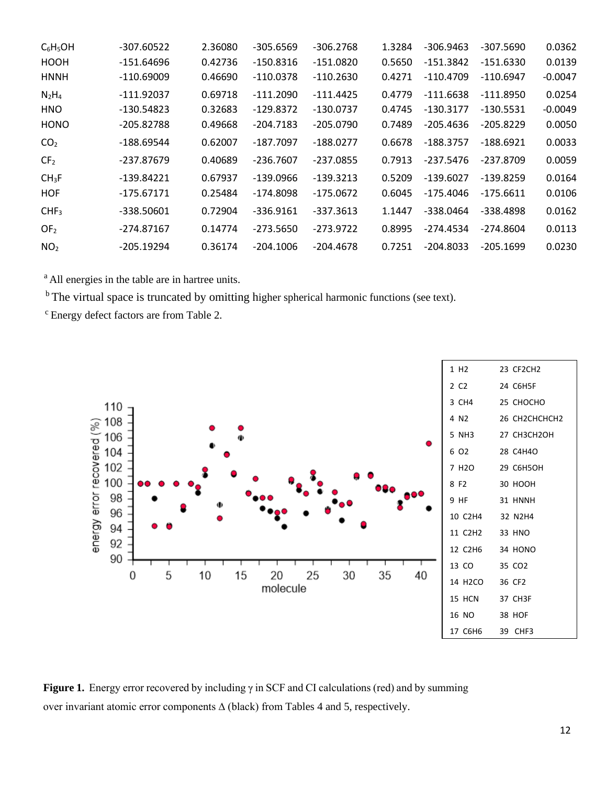| $C_6H_5OH$        | -307.60522   | 2.36080 | $-305.6569$ | -306.2768   | 1.3284 | $-306.9463$ | -307.5690   | 0.0362    |
|-------------------|--------------|---------|-------------|-------------|--------|-------------|-------------|-----------|
| HOOH              | -151.64696   | 0.42736 | $-150.8316$ | $-151.0820$ | 0.5650 | $-151.3842$ | $-151.6330$ | 0.0139    |
| <b>HNNH</b>       | $-110.69009$ | 0.46690 | $-110.0378$ | -110.2630   | 0.4271 | $-110.4709$ | $-110.6947$ | $-0.0047$ |
| $N_2H_4$          | $-111.92037$ | 0.69718 | $-111.2090$ | $-111.4425$ | 0.4779 | $-111.6638$ | $-111.8950$ | 0.0254    |
| <b>HNO</b>        | -130.54823   | 0.32683 | $-129.8372$ | -130.0737   | 0.4745 | $-130.3177$ | $-130.5531$ | $-0.0049$ |
| <b>HONO</b>       | -205.82788   | 0.49668 | $-204.7183$ | -205.0790   | 0.7489 | $-205.4636$ | $-205.8229$ | 0.0050    |
| CO <sub>2</sub>   | -188.69544   | 0.62007 | -187.7097   | -188.0277   | 0.6678 | $-188.3757$ | $-188.6921$ | 0.0033    |
| CF <sub>2</sub>   | -237.87679   | 0.40689 | $-236.7607$ | $-237.0855$ | 0.7913 | $-237.5476$ | -237.8709   | 0.0059    |
| CH <sub>3</sub> F | -139.84221   | 0.67937 | -139.0966   | $-139.3213$ | 0.5209 | $-139.6027$ | $-139.8259$ | 0.0164    |
| <b>HOF</b>        | -175.67171   | 0.25484 | -174.8098   | -175.0672   | 0.6045 | -175.4046   | -175.6611   | 0.0106    |
| CHF <sub>3</sub>  | -338.50601   | 0.72904 | $-336.9161$ | $-337.3613$ | 1.1447 | -338.0464   | -338.4898   | 0.0162    |
| OF <sub>2</sub>   | -274.87167   | 0.14774 | $-273.5650$ | $-273.9722$ | 0.8995 | -274.4534   | -274.8604   | 0.0113    |
| NO <sub>2</sub>   | $-205.19294$ | 0.36174 | $-204.1006$ | $-204.4678$ | 0.7251 | $-204.8033$ | $-205.1699$ | 0.0230    |

<sup>a</sup> All energies in the table are in hartree units.

<sup>b</sup> The virtual space is truncated by omitting higher spherical harmonic functions (see text).

c Energy defect factors are from Table 2.



**Figure 1.** Energy error recovered by including γ in SCF and CI calculations (red) and by summing over invariant atomic error components ∆ (black) from Tables 4 and 5, respectively.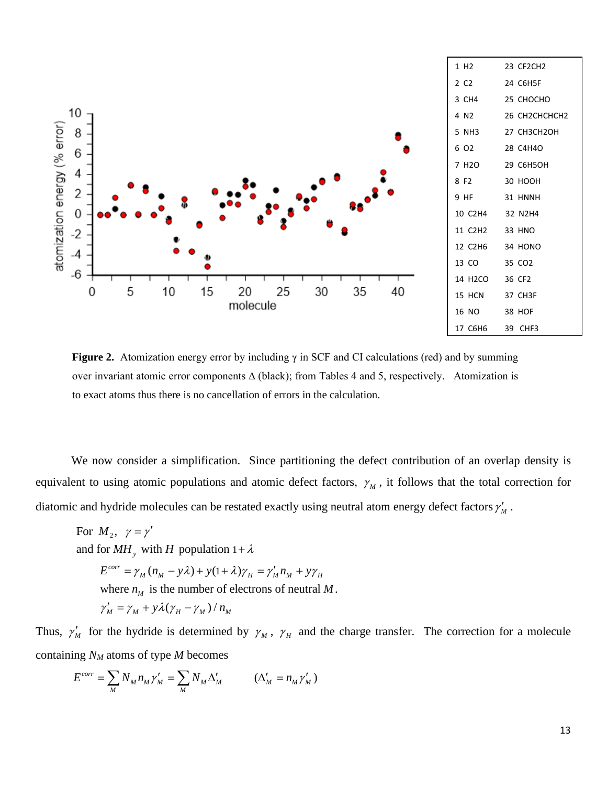

**Figure 2.** Atomization energy error by including γ in SCF and CI calculations (red) and by summing over invariant atomic error components ∆ (black); from Tables 4 and 5, respectively. Atomization is to exact atoms thus there is no cancellation of errors in the calculation.

We now consider a simplification. Since partitioning the defect contribution of an overlap density is equivalent to using atomic populations and atomic defect factors,  $\gamma_M$ , it follows that the total correction for diatomic and hydride molecules can be restated exactly using neutral atom energy defect factors  $\gamma'_{M}$ .

For  $M_2$ ,  $\gamma = \gamma'$ and for  $MH_y$  with H population  $1 + \lambda$  $E^{corr} = \gamma_M (n_M - y\lambda) + y(1 + \lambda)$ where  $n_M$  is the number of electrons of neutral M.  $\gamma'_M = \gamma_M + y\lambda(\gamma_H - \gamma_M)/n_M$  $E^{corr} = \gamma_M (n_M - y\lambda) + y(1 + \lambda)\gamma_H = \gamma'_M n_M + y\gamma_H$ 

Thus,  $\gamma'_{M}$  for the hydride is determined by  $\gamma_{M}$ ,  $\gamma_{H}$  and the charge transfer. The correction for a molecule containing *NM* atoms of type *M* becomes

$$
E^{corr} = \sum_{M} N_{M} n_{M} \gamma'_{M} = \sum_{M} N_{M} \Delta'_{M} \qquad (\Delta'_{M} = n_{M} \gamma'_{M})
$$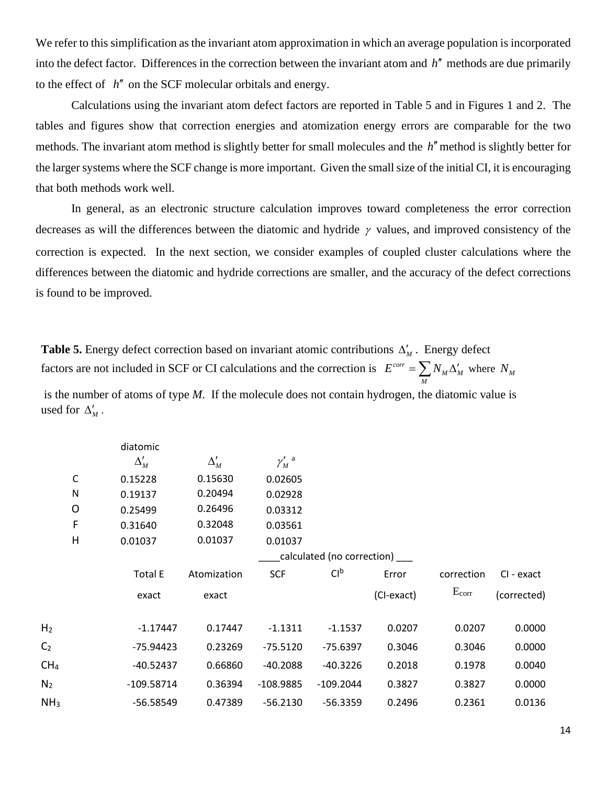We refer to this simplification as the invariant atom approximation in which an average population is incorporated into the defect factor. Differences in the correction between the invariant atom and *h*′′ methods are due primarily to the effect of *h*′′ on the SCF molecular orbitals and energy.

Calculations using the invariant atom defect factors are reported in Table 5 and in Figures 1 and 2. The tables and figures show that correction energies and atomization energy errors are comparable for the two methods. The invariant atom method is slightly better for small molecules and the *h*′′method is slightly better for the larger systems where the SCF change is more important. Given the small size of the initial CI, it is encouraging that both methods work well.

In general, as an electronic structure calculation improves toward completeness the error correction decreases as will the differences between the diatomic and hydride  $\gamma$  values, and improved consistency of the correction is expected. In the next section, we consider examples of coupled cluster calculations where the differences between the diatomic and hydride corrections are smaller, and the accuracy of the defect corrections is found to be improved.

**Table 5.** Energy defect correction based on invariant atomic contributions  $\Delta'_{M}$ . Energy defect factors are not included in SCF or CI calculations and the correction is  $E^{corr} = \sum N_M \Delta'_M$  where  $N_M$ *M* is the number of atoms of type *M*. If the molecule does not contain hydrogen, the diatomic value is used for  $\Delta'_{\mu}$ .

|                 |             | diatomic       |             |                                  |                            |            |            |             |
|-----------------|-------------|----------------|-------------|----------------------------------|----------------------------|------------|------------|-------------|
|                 |             | $\Delta'_M$    | $\Delta_M'$ | $\gamma_M^{\prime}$ <sup>a</sup> |                            |            |            |             |
|                 | $\mathsf C$ | 0.15228        | 0.15630     | 0.02605                          |                            |            |            |             |
|                 | ${\sf N}$   | 0.19137        | 0.20494     | 0.02928                          |                            |            |            |             |
|                 | O           | 0.25499        | 0.26496     | 0.03312                          |                            |            |            |             |
|                 | F           | 0.31640        | 0.32048     | 0.03561                          |                            |            |            |             |
|                 | H           | 0.01037        | 0.01037     | 0.01037                          |                            |            |            |             |
|                 |             |                |             |                                  | calculated (no correction) |            |            |             |
|                 |             | <b>Total E</b> | Atomization | <b>SCF</b>                       | Cl <sup>b</sup>            | Error      | correction | CI - exact  |
|                 |             | exact          | exact       |                                  |                            | (CI-exact) | $E_{corr}$ | (corrected) |
| H <sub>2</sub>  |             | $-1.17447$     | 0.17447     | $-1.1311$                        | $-1.1537$                  | 0.0207     | 0.0207     | 0.0000      |
| C <sub>2</sub>  |             | $-75.94423$    | 0.23269     | $-75.5120$                       | $-75.6397$                 | 0.3046     | 0.3046     | 0.0000      |
| CH <sub>4</sub> |             | -40.52437      | 0.66860     | $-40.2088$                       | $-40.3226$                 | 0.2018     | 0.1978     | 0.0040      |
| N <sub>2</sub>  |             | $-109.58714$   | 0.36394     | $-108.9885$                      | $-109.2044$                | 0.3827     | 0.3827     | 0.0000      |
| NH <sub>3</sub> |             | $-56.58549$    | 0.47389     | $-56.2130$                       | $-56.3359$                 | 0.2496     | 0.2361     | 0.0136      |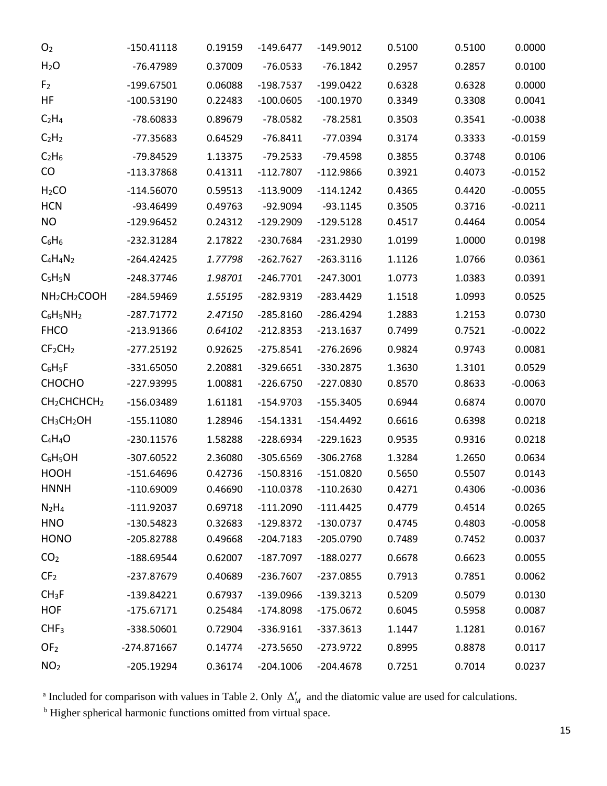| O <sub>2</sub>                       | $-150.41118$ | 0.19159 | $-149.6477$ | $-149.9012$ | 0.5100 | 0.5100 | 0.0000    |
|--------------------------------------|--------------|---------|-------------|-------------|--------|--------|-----------|
| H <sub>2</sub> O                     | -76.47989    | 0.37009 | $-76.0533$  | $-76.1842$  | 0.2957 | 0.2857 | 0.0100    |
| F <sub>2</sub>                       | $-199.67501$ | 0.06088 | $-198.7537$ | $-199.0422$ | 0.6328 | 0.6328 | 0.0000    |
| HF                                   | $-100.53190$ | 0.22483 | $-100.0605$ | $-100.1970$ | 0.3349 | 0.3308 | 0.0041    |
| $C_2H_4$                             | -78.60833    | 0.89679 | $-78.0582$  | $-78.2581$  | 0.3503 | 0.3541 | $-0.0038$ |
| C <sub>2</sub> H <sub>2</sub>        | $-77.35683$  | 0.64529 | $-76.8411$  | $-77.0394$  | 0.3174 | 0.3333 | $-0.0159$ |
| $C_2H_6$                             | -79.84529    | 1.13375 | $-79.2533$  | $-79.4598$  | 0.3855 | 0.3748 | 0.0106    |
| CO                                   | -113.37868   | 0.41311 | $-112.7807$ | $-112.9866$ | 0.3921 | 0.4073 | $-0.0152$ |
| H <sub>2</sub> CO                    | $-114.56070$ | 0.59513 | $-113.9009$ | $-114.1242$ | 0.4365 | 0.4420 | $-0.0055$ |
| <b>HCN</b>                           | -93.46499    | 0.49763 | $-92.9094$  | $-93.1145$  | 0.3505 | 0.3716 | $-0.0211$ |
| <b>NO</b>                            | -129.96452   | 0.24312 | $-129.2909$ | $-129.5128$ | 0.4517 | 0.4464 | 0.0054    |
| $C_6H_6$                             | $-232.31284$ | 2.17822 | $-230.7684$ | $-231.2930$ | 1.0199 | 1.0000 | 0.0198    |
| $C_4H_4N_2$                          | $-264.42425$ | 1.77798 | $-262.7627$ | $-263.3116$ | 1.1126 | 1.0766 | 0.0361    |
| $C_5H_5N$                            | -248.37746   | 1.98701 | $-246.7701$ | $-247.3001$ | 1.0773 | 1.0383 | 0.0391    |
| NH <sub>2</sub> CH <sub>2</sub> COOH | -284.59469   | 1.55195 | $-282.9319$ | $-283.4429$ | 1.1518 | 1.0993 | 0.0525    |
| $C_6H_5NH_2$                         | $-287.71772$ | 2.47150 | $-285.8160$ | $-286.4294$ | 1.2883 | 1.2153 | 0.0730    |
| <b>FHCO</b>                          | -213.91366   | 0.64102 | $-212.8353$ | $-213.1637$ | 0.7499 | 0.7521 | $-0.0022$ |
| CF <sub>2</sub> CH <sub>2</sub>      | $-277.25192$ | 0.92625 | $-275.8541$ | $-276.2696$ | 0.9824 | 0.9743 | 0.0081    |
| $C_6H_5F$                            | -331.65050   | 2.20881 | $-329.6651$ | $-330.2875$ | 1.3630 | 1.3101 | 0.0529    |
| CHOCHO                               | -227.93995   | 1.00881 | $-226.6750$ | $-227.0830$ | 0.8570 | 0.8633 | $-0.0063$ |
| CH <sub>2</sub> CHCHCH <sub>2</sub>  | -156.03489   | 1.61181 | $-154.9703$ | $-155.3405$ | 0.6944 | 0.6874 | 0.0070    |
| CH <sub>3</sub> CH <sub>2</sub> OH   | $-155.11080$ | 1.28946 | $-154.1331$ | $-154.4492$ | 0.6616 | 0.6398 | 0.0218    |
| $C_4H_4O$                            | $-230.11576$ | 1.58288 | $-228.6934$ | $-229.1623$ | 0.9535 | 0.9316 | 0.0218    |
| $C_6H_5OH$                           | -307.60522   | 2.36080 | $-305.6569$ | $-306.2768$ | 1.3284 | 1.2650 | 0.0634    |
| HOOH                                 | $-151.64696$ | 0.42736 | $-150.8316$ | $-151.0820$ | 0.5650 | 0.5507 | 0.0143    |
| <b>HNNH</b>                          | $-110.69009$ | 0.46690 | $-110.0378$ | $-110.2630$ | 0.4271 | 0.4306 | $-0.0036$ |
| $N_2H_4$                             | $-111.92037$ | 0.69718 | $-111.2090$ | $-111.4425$ | 0.4779 | 0.4514 | 0.0265    |
| <b>HNO</b>                           | $-130.54823$ | 0.32683 | $-129.8372$ | $-130.0737$ | 0.4745 | 0.4803 | $-0.0058$ |
| <b>HONO</b>                          | -205.82788   | 0.49668 | $-204.7183$ | $-205.0790$ | 0.7489 | 0.7452 | 0.0037    |
| CO <sub>2</sub>                      | $-188.69544$ | 0.62007 | $-187.7097$ | $-188.0277$ | 0.6678 | 0.6623 | 0.0055    |
| CF <sub>2</sub>                      | -237.87679   | 0.40689 | $-236.7607$ | $-237.0855$ | 0.7913 | 0.7851 | 0.0062    |
| CH <sub>3</sub> F                    | $-139.84221$ | 0.67937 | $-139.0966$ | $-139.3213$ | 0.5209 | 0.5079 | 0.0130    |
| <b>HOF</b>                           | $-175.67171$ | 0.25484 | $-174.8098$ | $-175.0672$ | 0.6045 | 0.5958 | 0.0087    |
| CHF <sub>3</sub>                     | -338.50601   | 0.72904 | $-336.9161$ | $-337.3613$ | 1.1447 | 1.1281 | 0.0167    |
| OF <sub>2</sub>                      | -274.871667  | 0.14774 | $-273.5650$ | $-273.9722$ | 0.8995 | 0.8878 | 0.0117    |
| NO <sub>2</sub>                      | $-205.19294$ | 0.36174 | $-204.1006$ | $-204.4678$ | 0.7251 | 0.7014 | 0.0237    |
|                                      |              |         |             |             |        |        |           |

<sup>a</sup> Included for comparison with values in Table 2. Only  $\Delta'_{M}$  and the diatomic value are used for calculations.

<sup>b</sup> Higher spherical harmonic functions omitted from virtual space.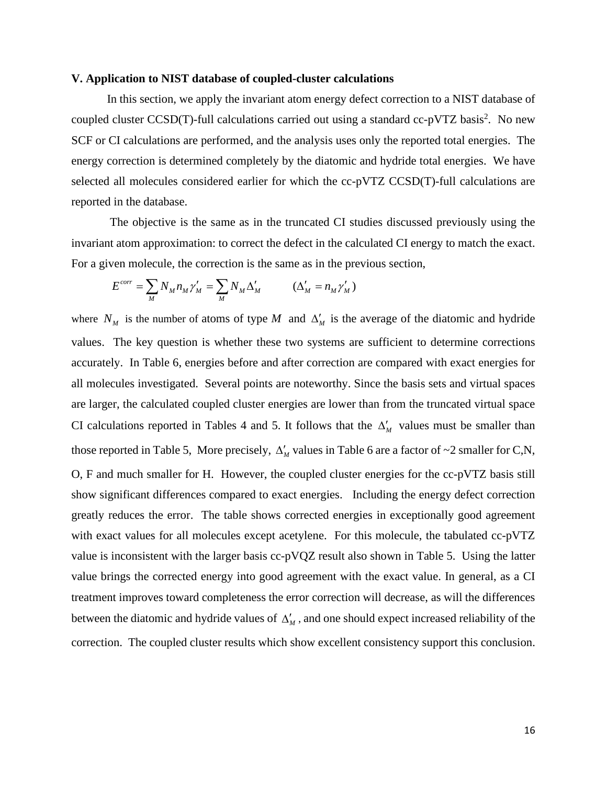#### **V. Application to NIST database of coupled-cluster calculations**

In this section, we apply the invariant atom energy defect correction to a NIST database of coupled cluster CCSD(T)-full calculations carried out using a standard cc-pVTZ basis<sup>2</sup>. No new SCF or CI calculations are performed, and the analysis uses only the reported total energies. The energy correction is determined completely by the diatomic and hydride total energies. We have selected all molecules considered earlier for which the cc-pVTZ CCSD(T)-full calculations are reported in the database.

The objective is the same as in the truncated CI studies discussed previously using the invariant atom approximation: to correct the defect in the calculated CI energy to match the exact. For a given molecule, the correction is the same as in the previous section,

$$
E^{corr} = \sum_{M} N_{M} n_{M} \gamma'_{M} = \sum_{M} N_{M} \Delta'_{M} \qquad (\Delta'_{M} = n_{M} \gamma'_{M})
$$

where  $N_M$  is the number of atoms of type M and  $\Delta'_M$  is the average of the diatomic and hydride values. The key question is whether these two systems are sufficient to determine corrections accurately. In Table 6, energies before and after correction are compared with exact energies for all molecules investigated. Several points are noteworthy. Since the basis sets and virtual spaces are larger, the calculated coupled cluster energies are lower than from the truncated virtual space CI calculations reported in Tables 4 and 5. It follows that the  $\Delta'_{\rm M}$  values must be smaller than those reported in Table 5, More precisely,  $\Delta'_{M}$  values in Table 6 are a factor of ~2 smaller for C,N, O, F and much smaller for H. However, the coupled cluster energies for the cc-pVTZ basis still show significant differences compared to exact energies. Including the energy defect correction greatly reduces the error. The table shows corrected energies in exceptionally good agreement with exact values for all molecules except acetylene. For this molecule, the tabulated cc-pVTZ value is inconsistent with the larger basis cc-pVQZ result also shown in Table 5. Using the latter value brings the corrected energy into good agreement with the exact value. In general, as a CI treatment improves toward completeness the error correction will decrease, as will the differences between the diatomic and hydride values of  $\Delta'_{\mu}$ , and one should expect increased reliability of the correction. The coupled cluster results which show excellent consistency support this conclusion.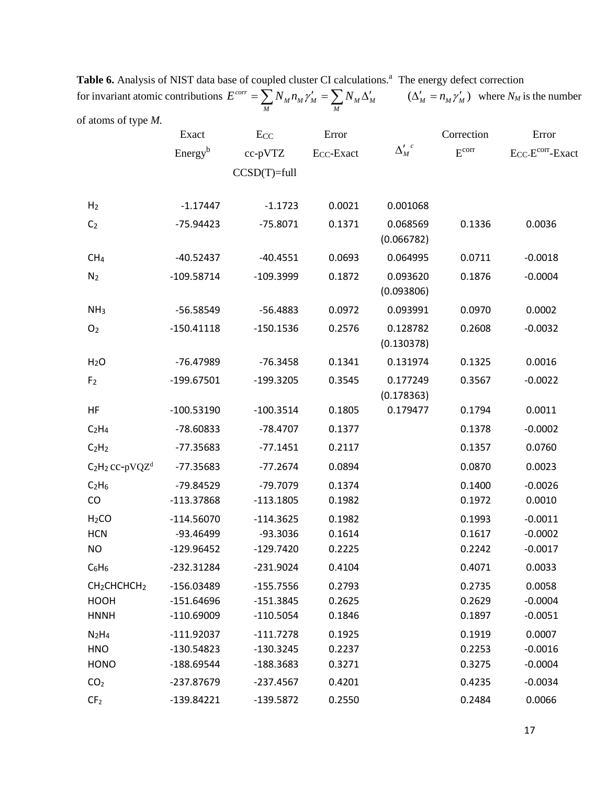| of atoms of type M.                                |                              |                            |                                 |                        |                                 |                                                    |
|----------------------------------------------------|------------------------------|----------------------------|---------------------------------|------------------------|---------------------------------|----------------------------------------------------|
|                                                    | Exact<br>Energy <sup>b</sup> | Ecc<br>cc-pVTZ             | Error<br>E <sub>CC</sub> -Exact | $\Delta_M^{\prime~c}$  | Correction<br>E <sup>corr</sup> | Error<br>E <sub>CC</sub> -E <sup>corr</sup> -Exact |
|                                                    |                              | $CCSD(T)=full$             |                                 |                        |                                 |                                                    |
| H <sub>2</sub>                                     | $-1.17447$                   | $-1.1723$                  | 0.0021                          | 0.001068               |                                 |                                                    |
| C <sub>2</sub>                                     | $-75.94423$                  | $-75.8071$                 | 0.1371                          | 0.068569<br>(0.066782) | 0.1336                          | 0.0036                                             |
| CH <sub>4</sub>                                    | $-40.52437$                  | $-40.4551$                 | 0.0693                          | 0.064995               | 0.0711                          | $-0.0018$                                          |
| N <sub>2</sub>                                     | $-109.58714$                 | $-109.3999$                | 0.1872                          | 0.093620<br>(0.093806) | 0.1876                          | $-0.0004$                                          |
| NH <sub>3</sub>                                    | $-56.58549$                  | $-56.4883$                 | 0.0972                          | 0.093991               | 0.0970                          | 0.0002                                             |
| O <sub>2</sub>                                     | $-150.41118$                 | $-150.1536$                | 0.2576                          | 0.128782<br>(0.130378) | 0.2608                          | $-0.0032$                                          |
| H <sub>2</sub> O                                   | -76.47989                    | $-76.3458$                 | 0.1341                          | 0.131974               | 0.1325                          | 0.0016                                             |
| F <sub>2</sub>                                     | $-199.67501$                 | $-199.3205$                | 0.3545                          | 0.177249<br>(0.178363) | 0.3567                          | $-0.0022$                                          |
| HF                                                 | $-100.53190$                 | $-100.3514$                | 0.1805                          | 0.179477               | 0.1794                          | 0.0011                                             |
| C <sub>2</sub> H <sub>4</sub>                      | -78.60833                    | $-78.4707$                 | 0.1377                          |                        | 0.1378                          | $-0.0002$                                          |
| C <sub>2</sub> H <sub>2</sub>                      | $-77.35683$                  | $-77.1451$                 | 0.2117                          |                        | 0.1357                          | 0.0760                                             |
| C <sub>2</sub> H <sub>2</sub> cc-pVQZ <sup>d</sup> | $-77.35683$                  | $-77.2674$                 | 0.0894                          |                        | 0.0870                          | 0.0023                                             |
| C <sub>2</sub> H <sub>6</sub><br>CO                | -79.84529<br>-113.37868      | -79.7079<br>$-113.1805$    | 0.1374<br>0.1982                |                        | 0.1400<br>0.1972                | $-0.0026$<br>0.0010                                |
| H <sub>2</sub> CO<br><b>HCN</b>                    | $-114.56070$<br>-93.46499    | $-114.3625$<br>-93.3036    | 0.1982<br>0.1614                |                        | 0.1993<br>0.1617                | $-0.0011$<br>$-0.0002$                             |
| <b>NO</b>                                          | $-129.96452$                 | $-129.7420$                | 0.2225                          |                        | 0.2242                          | $-0.0017$                                          |
| $C_6H_6$                                           | -232.31284                   | $-231.9024$                | 0.4104                          |                        | 0.4071                          | 0.0033                                             |
| CH <sub>2</sub> CHCHCH <sub>2</sub><br><b>HOOH</b> | $-156.03489$<br>$-151.64696$ | $-155.7556$<br>$-151.3845$ | 0.2793<br>0.2625                |                        | 0.2735<br>0.2629                | 0.0058<br>$-0.0004$                                |
| <b>HNNH</b>                                        | $-110.69009$                 | $-110.5054$                | 0.1846                          |                        | 0.1897                          | $-0.0051$                                          |
| N <sub>2</sub> H <sub>4</sub><br><b>HNO</b>        | $-111.92037$<br>$-130.54823$ | $-111.7278$<br>$-130.3245$ | 0.1925<br>0.2237                |                        | 0.1919<br>0.2253                | 0.0007<br>$-0.0016$                                |
| <b>HONO</b>                                        | -188.69544                   | -188.3683                  | 0.3271                          |                        | 0.3275                          | $-0.0004$                                          |
| CO <sub>2</sub><br>CF <sub>2</sub>                 | -237.87679<br>$-139.84221$   | $-237.4567$<br>$-139.5872$ | 0.4201<br>0.2550                |                        | 0.4235<br>0.2484                | $-0.0034$<br>0.0066                                |
|                                                    |                              |                            |                                 |                        |                                 |                                                    |

Table 6. Analysis of NIST data base of coupled cluster CI calculations.<sup>a</sup> The energy defect correction for invariant atomic contributions  $E^{corr} = \sum N_M n_M \gamma'_M = \sum N_M \Delta'_M$   $(\Delta'_M = n_M \gamma'_M)$  $E^{corr} = \sum_{M} N_{M} n_{M} \gamma'_{M} = \sum_{M} N_{M} \Delta'_{M}$  ( $\Delta'_{M} = n_{M} \gamma'_{M}$ ) where  $N_{M}$  is the number of atoms of type *M.*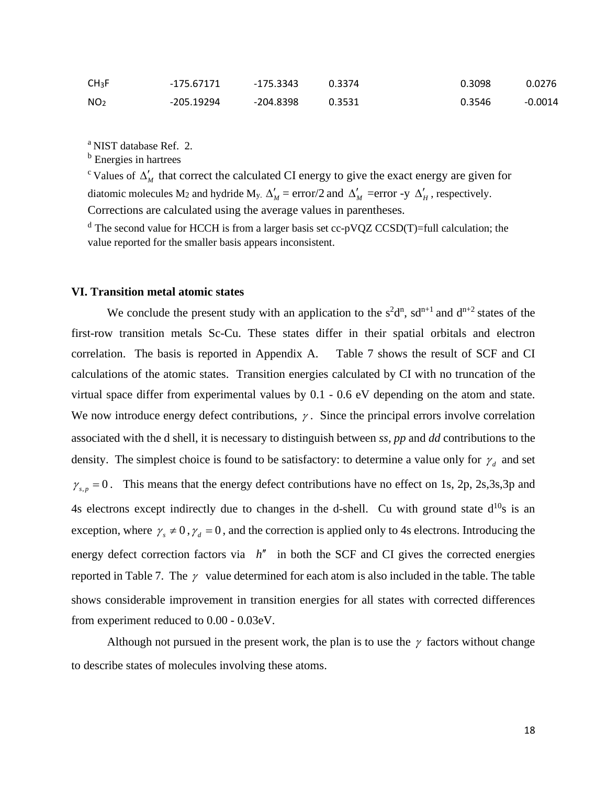| CH <sub>3</sub> F | -175.67171 | $-175.3343$ | 0.3374 | 0.3098 | 0.0276    |
|-------------------|------------|-------------|--------|--------|-----------|
| NO <sub>2</sub>   | -205.19294 | -204.8398   | 0.3531 | 0.3546 | $-0.0014$ |

<sup>a</sup> NIST database Ref. 2.

**b** Energies in hartrees

<sup>c</sup> Values of  $\Delta'$  that correct the calculated CI energy to give the exact energy are given for diatomic molecules M<sub>2</sub> and hydride M<sub>y</sub>.  $\Delta'_{M}$  = error/2 and  $\Delta'_{M}$  = error -y  $\Delta'_{H}$ , respectively. Corrections are calculated using the average values in parentheses.

 $d$  The second value for HCCH is from a larger basis set cc-pVQZ CCSD(T)=full calculation; the value reported for the smaller basis appears inconsistent.

#### **VI. Transition metal atomic states**

We conclude the present study with an application to the  $s^2d^n$ ,  $sd^{n+1}$  and  $d^{n+2}$  states of the first-row transition metals Sc-Cu. These states differ in their spatial orbitals and electron correlation. The basis is reported in Appendix A. Table 7 shows the result of SCF and CI calculations of the atomic states. Transition energies calculated by CI with no truncation of the virtual space differ from experimental values by 0.1 - 0.6 eV depending on the atom and state. We now introduce energy defect contributions,  $\gamma$ . Since the principal errors involve correlation associated with the d shell, it is necessary to distinguish between *ss, pp* and *dd* contributions to the density. The simplest choice is found to be satisfactory: to determine a value only for  $\gamma_d$  and set  $\gamma_{s,p} = 0$ . This means that the energy defect contributions have no effect on 1s, 2p, 2s,3s,3p and 4s electrons except indirectly due to changes in the d-shell. Cu with ground state  $d^{10}s$  is an exception, where  $\gamma_s \neq 0$ ,  $\gamma_d = 0$ , and the correction is applied only to 4s electrons. Introducing the energy defect correction factors via  $h''$  in both the SCF and CI gives the corrected energies reported in Table 7. The  $\gamma$  value determined for each atom is also included in the table. The table shows considerable improvement in transition energies for all states with corrected differences from experiment reduced to 0.00 - 0.03eV.

Although not pursued in the present work, the plan is to use the  $\gamma$  factors without change to describe states of molecules involving these atoms.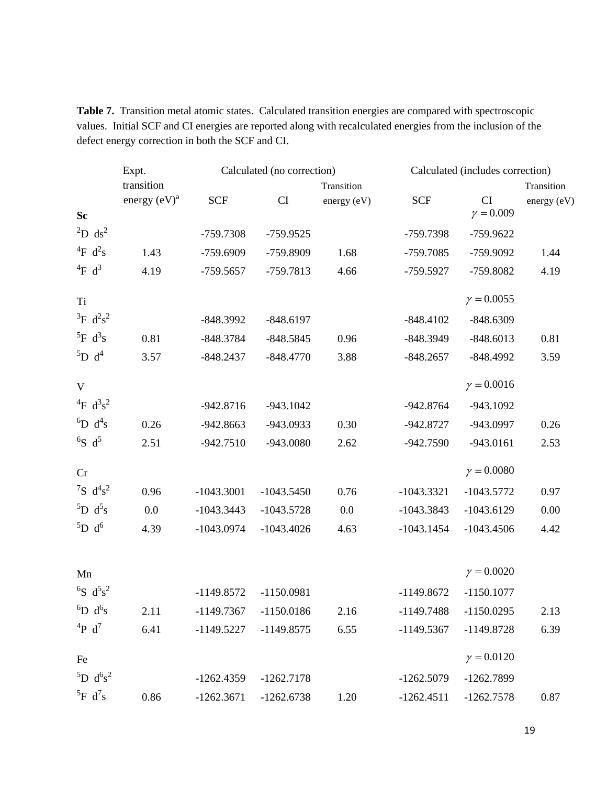Table 7. Transition metal atomic states. Calculated transition energies are compared with spectroscopic values. Initial SCF and CI energies are reported along with recalculated energies from the inclusion of the defect energy correction in both the SCF and CI.

|                                         | Expt.           |              | Calculated (no correction) |             |              | Calculated (includes correction) |             |
|-----------------------------------------|-----------------|--------------|----------------------------|-------------|--------------|----------------------------------|-------------|
|                                         | transition      |              |                            | Transition  |              |                                  | Transition  |
|                                         | energy $(eV)^a$ | <b>SCF</b>   | CI                         | energy (eV) | <b>SCF</b>   | CI<br>$\gamma = 0.009$           | energy (eV) |
| <b>Sc</b>                               |                 |              |                            |             |              |                                  |             |
| $^{2}D$ ds <sup>2</sup>                 |                 | -759.7308    | -759.9525                  |             | -759.7398    | -759.9622                        |             |
| <sup>4</sup> F $d^2s$                   | 1.43            | -759.6909    | -759.8909                  | 1.68        | -759.7085    | -759.9092                        | 1.44        |
| $^{4}F$ d <sup>3</sup>                  | 4.19            | $-759.5657$  | -759.7813                  | 4.66        | -759.5927    | -759.8082                        | 4.19        |
| T <sub>i</sub>                          |                 |              |                            |             |              | $\gamma = 0.0055$                |             |
| ${}^{3}F$ d <sup>2</sup> s <sup>2</sup> |                 | $-848.3992$  | $-848.6197$                |             | $-848.4102$  | $-848.6309$                      |             |
| ${}^5F$ d <sup>3</sup> s                | 0.81            | $-848.3784$  | $-848.5845$                | 0.96        | -848.3949    | $-848.6013$                      | 0.81        |
| ${}^5D$ d <sup>4</sup>                  | 3.57            | $-848.2437$  | $-848.4770$                | 3.88        | $-848.2657$  | $-848.4992$                      | 3.59        |
| V                                       |                 |              |                            |             |              | $\gamma = 0.0016$                |             |
| $^{4}F d^{3}s^{2}$                      |                 | $-942.8716$  | $-943.1042$                |             | -942.8764    | -943.1092                        |             |
| ${}^6D$ d <sup>4</sup> s                | 0.26            | $-942.8663$  | -943.0933                  | 0.30        | -942.8727    | -943.0997                        | 0.26        |
| ${}^{6}S$ d <sup>5</sup>                | 2.51            | $-942.7510$  | -943.0080                  | 2.62        | $-942.7590$  | $-943.0161$                      | 2.53        |
| Cr                                      |                 |              |                            |             |              | $\gamma = 0.0080$                |             |
| ${}^{7}S$ d <sup>4</sup> s <sup>2</sup> | 0.96            | $-1043.3001$ | $-1043.5450$               | 0.76        | $-1043.3321$ | $-1043.5772$                     | 0.97        |
| ${}^5D$ d <sup>5</sup> s                | 0.0             | $-1043.3443$ | $-1043.5728$               | 0.0         | $-1043.3843$ | $-1043.6129$                     | 0.00        |
| ${}^5D$ d <sup>6</sup>                  | 4.39            | $-1043.0974$ | $-1043.4026$               | 4.63        | $-1043.1454$ | $-1043.4506$                     | 4.42        |
|                                         |                 |              |                            |             |              | $\gamma = 0.0020$                |             |
| Mn<br>${}^{6}S$ $d^{5}s^{2}$            |                 |              |                            |             |              |                                  |             |
|                                         |                 | $-1149.8572$ | $-1150.0981$               |             | $-1149.8672$ | $-1150.1077$                     |             |
| ${}^6D$ d <sup>6</sup> s                | 2.11            | -1149.7367   | $-1150.0186$               | 2.16        | $-1149.7488$ | $-1150.0295$                     | 2.13        |
| $^{4}P d^{7}$                           | 6.41            | $-1149.5227$ | $-1149.8575$               | 6.55        | $-1149.5367$ | $-1149.8728$                     | 6.39        |
| Fe                                      |                 |              |                            |             |              | $\gamma = 0.0120$                |             |
| ${}^{5}D \text{ d} {}^{6}s^2$           |                 | $-1262.4359$ | $-1262.7178$               |             | $-1262.5079$ | -1262.7899                       |             |
| ${}^5F$ d <sup>7</sup> s                | 0.86            | $-1262.3671$ | $-1262.6738$               | 1.20        | $-1262.4511$ | $-1262.7578$                     | 0.87        |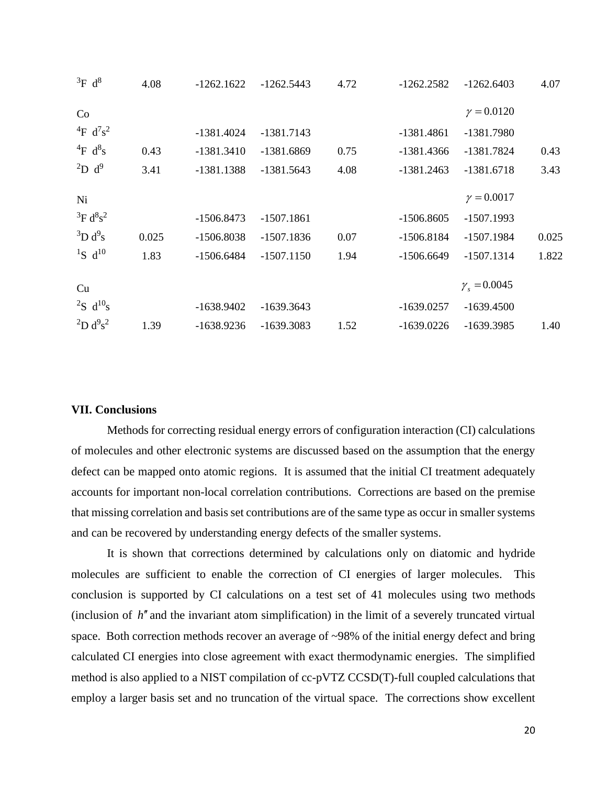| ${}^{3}F$ d <sup>8</sup>    | 4.08  | $-1262.1622$ | $-1262.5443$ | 4.72 | $-1262.2582$ | $-1262.6403$              | 4.07  |
|-----------------------------|-------|--------------|--------------|------|--------------|---------------------------|-------|
| Co                          |       |              |              |      |              | $\gamma = 0.0120$         |       |
| $^{4}F d^{7}s^{2}$          |       | $-1381.4024$ | $-1381.7143$ |      | $-1381.4861$ | -1381.7980                |       |
| $^{4}$ F d <sup>8</sup> s   | 0.43  | $-1381.3410$ | -1381.6869   | 0.75 | -1381.4366   | -1381.7824                | 0.43  |
| $^{2}D d^{9}$               | 3.41  | $-1381.1388$ | $-1381.5643$ | 4.08 | $-1381.2463$ | $-1381.6718$              | 3.43  |
| Ni                          |       |              |              |      |              | $\gamma = 0.0017$         |       |
| ${}^{3}F d^{8}s^{2}$        |       | $-1506.8473$ | $-1507.1861$ |      | $-1506.8605$ | $-1507.1993$              |       |
| ${}^{3}D d^{9}s$            | 0.025 | $-1506.8038$ | $-1507.1836$ | 0.07 | $-1506.8184$ | $-1507.1984$              | 0.025 |
| $^{1}S$ d <sup>10</sup>     | 1.83  | $-1506.6484$ | $-1507.1150$ | 1.94 | $-1506.6649$ | $-1507.1314$              | 1.822 |
| Cu                          |       |              |              |      |              | $\gamma_{\rm s} = 0.0045$ |       |
| ${}^{2}S$ d <sup>10</sup> s |       | $-1638.9402$ | $-1639.3643$ |      | $-1639.0257$ | $-1639.4500$              |       |
| $^{2}D d^{9}s^{2}$          | 1.39  | $-1638.9236$ | -1639.3083   | 1.52 | $-1639.0226$ | -1639.3985                | 1.40  |

#### **VII. Conclusions**

Methods for correcting residual energy errors of configuration interaction (CI) calculations of molecules and other electronic systems are discussed based on the assumption that the energy defect can be mapped onto atomic regions. It is assumed that the initial CI treatment adequately accounts for important non-local correlation contributions. Corrections are based on the premise that missing correlation and basis set contributions are of the same type as occur in smaller systems and can be recovered by understanding energy defects of the smaller systems.

It is shown that corrections determined by calculations only on diatomic and hydride molecules are sufficient to enable the correction of CI energies of larger molecules. This conclusion is supported by CI calculations on a test set of 41 molecules using two methods (inclusion of *h*′′ and the invariant atom simplification) in the limit of a severely truncated virtual space. Both correction methods recover an average of ~98% of the initial energy defect and bring calculated CI energies into close agreement with exact thermodynamic energies. The simplified method is also applied to a NIST compilation of cc-pVTZ CCSD(T)-full coupled calculations that employ a larger basis set and no truncation of the virtual space. The corrections show excellent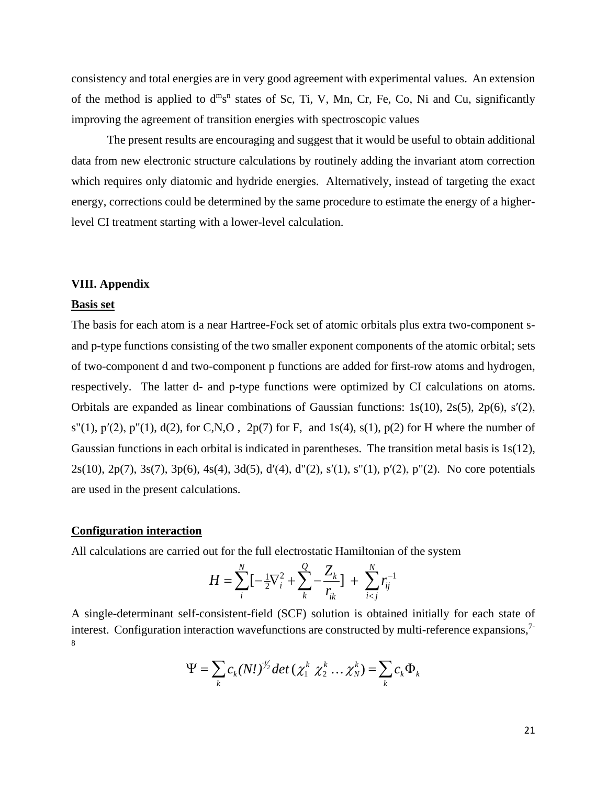consistency and total energies are in very good agreement with experimental values. An extension of the method is applied to  $d^{m}s^{n}$  states of Sc, Ti, V, Mn, Cr, Fe, Co, Ni and Cu, significantly improving the agreement of transition energies with spectroscopic values

The present results are encouraging and suggest that it would be useful to obtain additional data from new electronic structure calculations by routinely adding the invariant atom correction which requires only diatomic and hydride energies. Alternatively, instead of targeting the exact energy, corrections could be determined by the same procedure to estimate the energy of a higherlevel CI treatment starting with a lower-level calculation.

#### **VIII. Appendix**

#### **Basis set**

The basis for each atom is a near Hartree-Fock set of atomic orbitals plus extra two-component sand p-type functions consisting of the two smaller exponent components of the atomic orbital; sets of two-component d and two-component p functions are added for first-row atoms and hydrogen, respectively. The latter d- and p-type functions were optimized by CI calculations on atoms. Orbitals are expanded as linear combinations of Gaussian functions: 1s(10), 2s(5), 2p(6), s′(2),  $s''(1)$ ,  $p'(2)$ ,  $p''(1)$ ,  $d(2)$ , for C,N,O,  $2p(7)$  for F, and 1s(4),  $s(1)$ ,  $p(2)$  for H where the number of Gaussian functions in each orbital is indicated in parentheses. The transition metal basis is 1s(12), 2s(10), 2p(7), 3s(7), 3p(6), 4s(4), 3d(5), d′(4), d"(2), s′(1), s"(1), p′(2), p"(2). No core potentials are used in the present calculations.

#### **Configuration interaction**

All calculations are carried out for the full electrostatic Hamiltonian of the system

$$
H = \sum_{i}^{N} \left[ -\frac{1}{2} \nabla_i^2 + \sum_{k}^{Q} -\frac{Z_k}{r_{ik}} \right] + \sum_{i < j}^{N} r_{ij}^{-1}
$$

A single-determinant self-consistent-field (SCF) solution is obtained initially for each state of interest. Configuration interaction wavefunctions are constructed by multi-reference expansions,<sup>7-</sup> 8

$$
\Psi = \sum_{k} c_k (N!)^{\frac{1}{2}} \det \left( \chi_1^k \ \chi_2^k \dots \chi_N^k \right) = \sum_{k} c_k \Phi_k
$$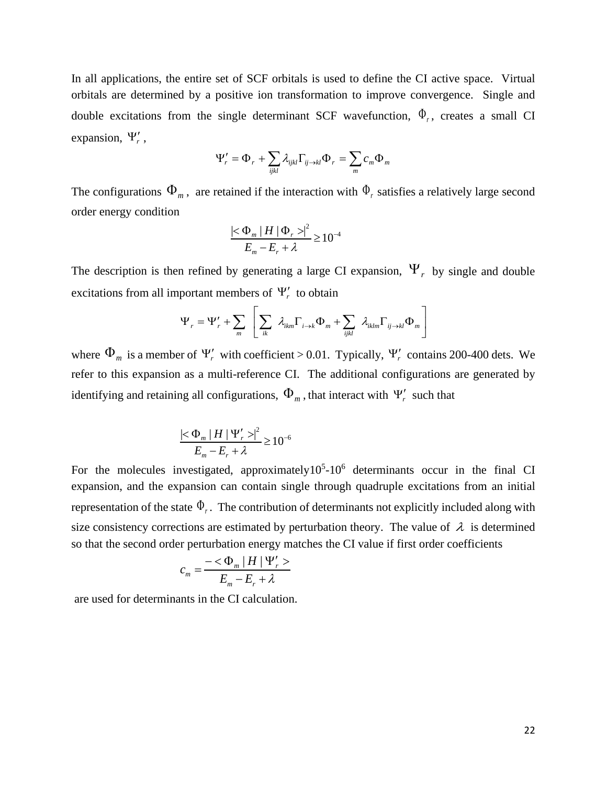In all applications, the entire set of SCF orbitals is used to define the CI active space. Virtual orbitals are determined by a positive ion transformation to improve convergence. Single and double excitations from the single determinant SCF wavefunction,  $\Phi_r$ , creates a small CI expansion,  $\Psi'_r$ ,

$$
\Psi'_{r} = \Phi_{r} + \sum_{ijkl} \lambda_{ijkl} \Gamma_{ij \to kl} \Phi_{r} = \sum_{m} c_{m} \Phi_{m}
$$

The configurations  $\Phi_m$ , are retained if the interaction with  $\Phi_r$  satisfies a relatively large second order energy condition

$$
\frac{\left|<\Phi_m\left|H\right|\Phi_r>\right|^2}{E_m - E_r + \lambda} \ge 10^{-4}
$$

The description is then refined by generating a large CI expansion,  $\Psi_r$  by single and double excitations from all important members of  $\Psi'_r$  to obtain

$$
\Psi_r = \Psi'_r + \sum_m \left[ \sum_{ik} \lambda_{ikm} \Gamma_{i \to k} \Phi_m + \sum_{ijkl} \lambda_{iklm} \Gamma_{ij \to kl} \Phi_m \right]
$$

where  $\Phi_m$  is a member of  $\Psi'_r$  with coefficient > 0.01. Typically,  $\Psi'_r$  contains 200-400 dets. We refer to this expansion as a multi-reference CI. The additional configurations are generated by identifying and retaining all configurations,  $\Phi_{_m}$  , that interact with  $\Psi_{_r}^\prime$  such that

$$
\frac{|\langle \Phi_m | H | \Psi'_r \rangle|^2}{E_m - E_r + \lambda} \ge 10^{-6}
$$

For the molecules investigated, approximately  $10^5$ - $10^6$  determinants occur in the final CI expansion, and the expansion can contain single through quadruple excitations from an initial representation of the state  $\Phi_r$ . The contribution of determinants not explicitly included along with size consistency corrections are estimated by perturbation theory. The value of  $\lambda$  is determined so that the second order perturbation energy matches the CI value if first order coefficients

$$
c_m = \frac{-\langle \Phi_m | H | \Psi'_r \rangle}{E_m - E_r + \lambda}
$$

are used for determinants in the CI calculation.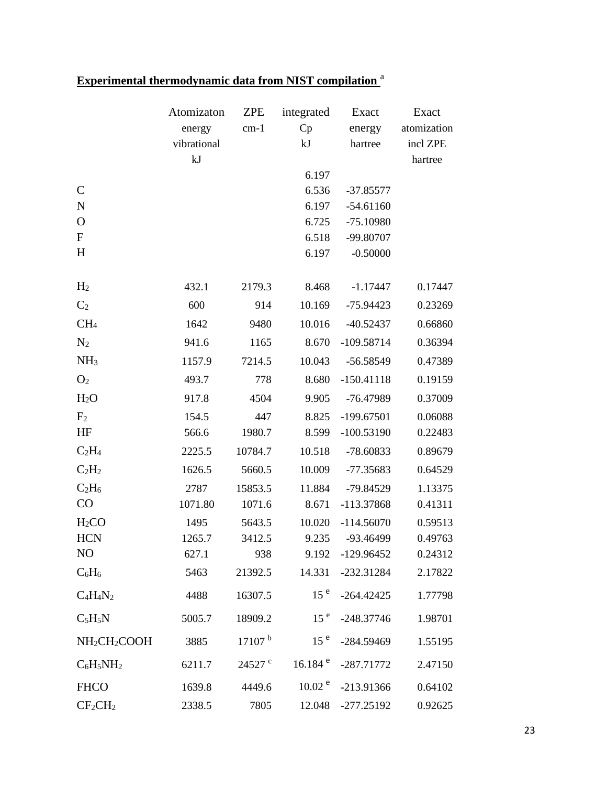|                                      | Atomizaton  | <b>ZPE</b>         | integrated            | Exact        | Exact       |
|--------------------------------------|-------------|--------------------|-----------------------|--------------|-------------|
|                                      | energy      | $cm-1$             | Cp                    | energy       | atomization |
|                                      | vibrational |                    | kJ                    | hartree      | incl ZPE    |
|                                      | kJ          |                    |                       |              | hartree     |
|                                      |             |                    | 6.197                 |              |             |
| $\mathcal{C}$                        |             |                    | 6.536                 | $-37.85577$  |             |
| ${\bf N}$                            |             |                    | 6.197                 | $-54.61160$  |             |
| $\mathbf O$                          |             |                    | 6.725                 | $-75.10980$  |             |
| ${\bf F}$                            |             |                    | 6.518                 | -99.80707    |             |
| H                                    |             |                    | 6.197                 | $-0.50000$   |             |
| H <sub>2</sub>                       | 432.1       | 2179.3             | 8.468                 | $-1.17447$   | 0.17447     |
| C <sub>2</sub>                       | 600         | 914                | 10.169                | $-75.94423$  | 0.23269     |
| CH <sub>4</sub>                      | 1642        | 9480               | 10.016                | $-40.52437$  | 0.66860     |
| N <sub>2</sub>                       | 941.6       | 1165               | 8.670                 | $-109.58714$ | 0.36394     |
| NH <sub>3</sub>                      | 1157.9      | 7214.5             | 10.043                | $-56.58549$  | 0.47389     |
| O <sub>2</sub>                       | 493.7       | 778                | 8.680                 | $-150.41118$ | 0.19159     |
| H <sub>2</sub> O                     | 917.8       | 4504               | 9.905                 | -76.47989    | 0.37009     |
| F <sub>2</sub>                       | 154.5       | 447                | 8.825                 | -199.67501   | 0.06088     |
| HF                                   | 566.6       | 1980.7             | 8.599                 | $-100.53190$ | 0.22483     |
| $C_2H_4$                             | 2225.5      | 10784.7            | 10.518                | -78.60833    | 0.89679     |
| $C_2H_2$                             | 1626.5      | 5660.5             | 10.009                | $-77.35683$  | 0.64529     |
| $C_2H_6$                             | 2787        | 15853.5            | 11.884                | $-79.84529$  | 1.13375     |
| CO                                   | 1071.80     | 1071.6             | 8.671                 | -113.37868   | 0.41311     |
| H <sub>2</sub> CO                    | 1495        | 5643.5             | 10.020                | $-114.56070$ | 0.59513     |
| <b>HCN</b>                           | 1265.7      | 3412.5             | 9.235                 | -93.46499    | 0.49763     |
| NO                                   | 627.1       | 938                | 9.192                 | $-129.96452$ | 0.24312     |
| $C_6H_6$                             | 5463        | 21392.5            | 14.331                | $-232.31284$ | 2.17822     |
| $C_4H_4N_2$                          | 4488        | 16307.5            | 15 <sup>e</sup>       | $-264.42425$ | 1.77798     |
| $C_5H_5N$                            | 5005.7      | 18909.2            | 15 <sup>e</sup>       | $-248.37746$ | 1.98701     |
| NH <sub>2</sub> CH <sub>2</sub> COOH | 3885        | 17107 <sup>b</sup> | 15 <sup>e</sup>       | $-284.59469$ | 1.55195     |
| $C_6H_5NH_2$                         | 6211.7      | 24527 <sup>c</sup> | $16.184$ <sup>e</sup> | $-287.71772$ | 2.47150     |
| <b>FHCO</b>                          | 1639.8      | 4449.6             | 10.02 <sup>e</sup>    | -213.91366   | 0.64102     |
| $CF_2CH_2$                           | 2338.5      | 7805               | 12.048                | $-277.25192$ | 0.92625     |

# **Experimental thermodynamic data from NIST compilation** <sup>a</sup>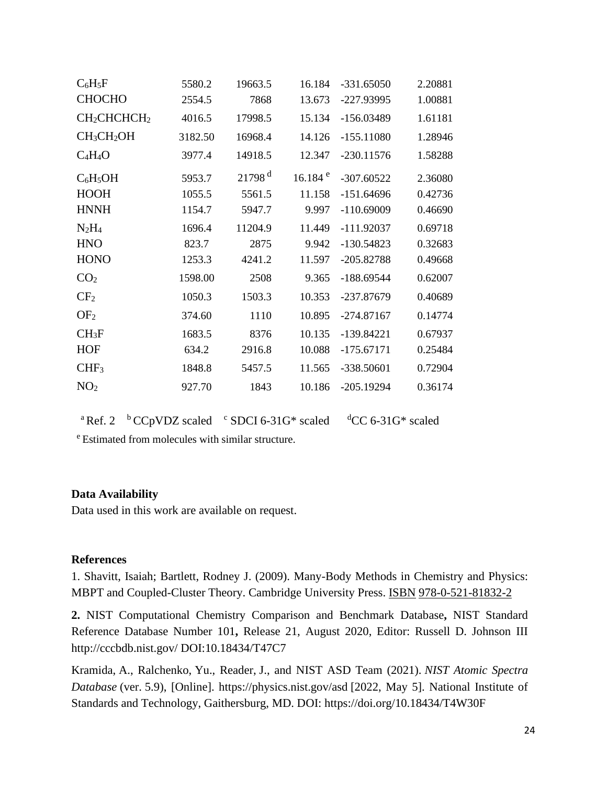|         |                      |                       |              | 2.20881      |
|---------|----------------------|-----------------------|--------------|--------------|
| 2554.5  | 7868                 | 13.673                | -227.93995   | 1.00881      |
| 4016.5  | 17998.5              | 15.134                | $-156.03489$ | 1.61181      |
| 3182.50 | 16968.4              | 14.126                | $-155.11080$ | 1.28946      |
| 3977.4  | 14918.5              | 12.347                | $-230.11576$ | 1.58288      |
| 5953.7  | $21798$ <sup>d</sup> | $16.184$ <sup>e</sup> | $-307.60522$ | 2.36080      |
| 1055.5  | 5561.5               | 11.158                | $-151.64696$ | 0.42736      |
| 1154.7  | 5947.7               | 9.997                 | $-110.69009$ | 0.46690      |
| 1696.4  | 11204.9              | 11.449                | $-111.92037$ | 0.69718      |
| 823.7   | 2875                 | 9.942                 | $-130.54823$ | 0.32683      |
| 1253.3  | 4241.2               | 11.597                | $-205.82788$ | 0.49668      |
| 1598.00 | 2508                 | 9.365                 | $-188.69544$ | 0.62007      |
| 1050.3  | 1503.3               | 10.353                | -237.87679   | 0.40689      |
| 374.60  | 1110                 | 10.895                | $-274.87167$ | 0.14774      |
| 1683.5  | 8376                 | 10.135                | $-139.84221$ | 0.67937      |
| 634.2   | 2916.8               | 10.088                | $-175.67171$ | 0.25484      |
| 1848.8  | 5457.5               | 11.565                | -338.50601   | 0.72904      |
| 927.70  | 1843                 | 10.186                | $-205.19294$ | 0.36174      |
|         | 5580.2               | 19663.5               | 16.184       | $-331.65050$ |

<sup>a</sup> Ref. 2  $\mathrm{^{b}CCp}VDZ$  scaled  $\mathrm{^{c}SDCI}$  6-31G\* scaled  $\mathrm{^{d}CC}$  6-31G\* scaled

<sup>e</sup> Estimated from molecules with similar structure.

# **Data Availability**

Data used in this work are available on request.

# **References**

1. Shavitt, Isaiah; Bartlett, Rodney J. (2009). Many-Body Methods in Chemistry and Physics: MBPT and Coupled-Cluster Theory. Cambridge University Press. [ISBN](https://en.wikipedia.org/wiki/International_Standard_Book_Number) [978-0-521-81832-2](https://en.wikipedia.org/wiki/Special:BookSources/978-0-521-81832-2)

**2.** NIST Computational Chemistry Comparison and Benchmark Database**,** NIST Standard Reference Database Number 101**,** Release 21, August 2020, Editor: Russell D. Johnson III http://cccbdb.nist.gov/ DOI:10.18434/T47C7

Kramida, A., Ralchenko, Yu., Reader, J., and NIST ASD Team (2021). *NIST Atomic Spectra Database* (ver. 5.9), [Online]. https://physics.nist.gov/asd [2022, May 5]. National Institute of Standards and Technology, Gaithersburg, MD. DOI: https://doi.org/10.18434/T4W30F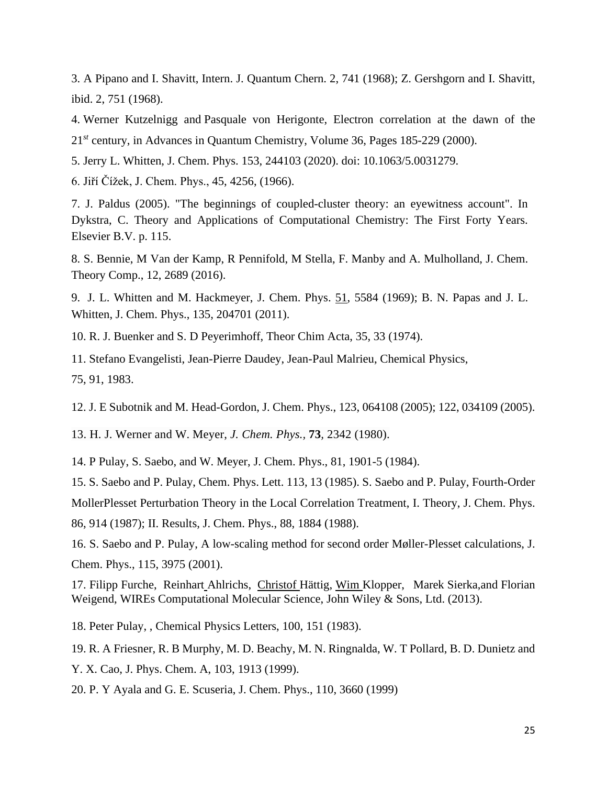3. A Pipano and I. Shavitt, Intern. J. Quantum Chern. 2, 741 (1968); Z. Gershgorn and I. Shavitt, ibid. 2, 751 (1968).

4. Werner Kutzelnigg and Pasquale von Herigonte, Electron correlation at the dawn of the 21*st* century, in Advances in Quantum Chemistry, Volume 36, Pages 185-229 (2000).

5. Jerry L. Whitten, J. Chem. Phys. 153, 244103 (2020). doi: 10.1063/5.0031279.

6. Jiří Čížek, J. Chem. Phys., 45, 4256, (1966).

7. J. Paldus (2005). "The beginnings of coupled-cluster theory: an eyewitness account". In Dykstra, C. Theory and Applications of Computational Chemistry: The First Forty Years. Elsevier B.V. p. 115.

8. S. Bennie, M Van der Kamp, R Pennifold, M Stella, F. Manby and A. Mulholland, J. Chem. Theory Comp., 12, 2689 (2016).

9. J. L. Whitten and M. Hackmeyer, J. Chem. Phys. 51, 5584 (1969); B. N. Papas and J. L. Whitten, J. Chem. Phys., 135, 204701 (2011).

10. R. J. Buenker and S. D Peyerimhoff, Theor Chim Acta, 35, 33 (1974).

11. Stefano Evangelisti, Jean-Pierre Daudey, Jean-Paul Malrieu, Chemical Physics, 75, 91, 1983.

12. J. E Subotnik and M. Head-Gordon, J. Chem. Phys., 123, 064108 (2005); 122, 034109 (2005).

13. H. J. Werner and W. Meyer, *J. Chem. Phys.,* **73***,* 2342 (1980).

14. P Pulay, S. Saebo, and W. Meyer, J. Chem. Phys., 81, 1901-5 (1984).

15. S. Saebo and P. Pulay, Chem. Phys. Lett. 113, 13 (1985). S. Saebo and P. Pulay, Fourth-Order MollerPlesset Perturbation Theory in the Local Correlation Treatment, I. Theory, J. Chem. Phys. 86, 914 (1987); II. Results, J. Chem. Phys., 88, 1884 (1988).

16. S. Saebo and P. Pulay, A low-scaling method for second order Møller-Plesset calculations, J. Chem. Phys., 115, 3975 (2001).

17. Filipp Furche, Reinhart Ahlrichs, Christof Hättig, Wim Klopper, [Marek Sierka,](https://onlinelibrary.wiley.com/action/doSearch?ContribAuthorStored=Sierka%2C+Marek)and Florian Weigend, WIREs Computational Molecular Science, John Wiley & Sons, Ltd. (2013).

18. Peter Pulay, , Chemical Physics Letters, 100, 151 (1983).

19. R. A Friesner, R. B Murphy, M. D. Beachy, M. N. Ringnalda, W. T Pollard, B. D. Dunietz and Y. X. Cao, J. Phys. Chem. A, 103, 1913 (1999).

20. P. Y Ayala and G. E. Scuseria, J. Chem. Phys., 110, 3660 (1999)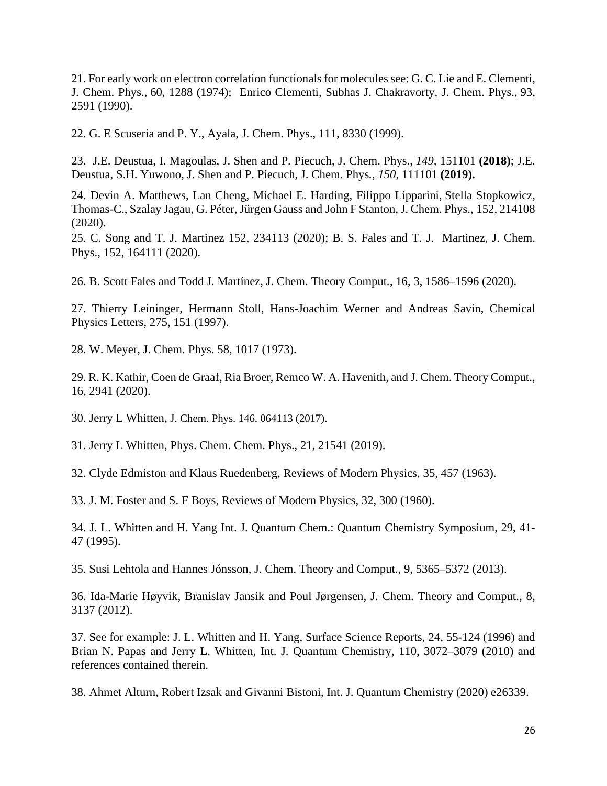21. For early work on electron correlation functionals for molecules see: G. C. Lie and E. Clementi, J. Chem. Phys., 60, 1288 (1974); Enrico Clementi, Subhas J. Chakravorty, J. Chem. Phys., 93, 2591 (1990).

22. G. E Scuseria and P. Y., Ayala, J. Chem. Phys., 111, 8330 (1999).

23. J.E. Deustua, I. Magoulas, J. Shen and P. Piecuch, J. Chem. Phys., *149,* 151101 **(2018)**; J.E. Deustua, S.H. Yuwono, J. Shen and P. Piecuch, J. Chem. Phys*., 150,* 111101 **(2019).**

24. Devin A. Matthews, Lan Cheng, Michael E. Harding, Filippo Lipparini, Stella Stopkowicz, Thomas-C., Szalay Jagau, G. Péter, Jürgen Gauss and John F Stanton, J. Chem. Phys., 152, 214108 (2020).

25. C. Song and T. J. Martinez 152, 234113 (2020); B. S. Fales and T. J. Martinez, J. Chem. Phys., 152, 164111 (2020).

26. B. Scott Fales and Todd J. Martínez, J. Chem. Theory Comput*.*, 16, 3, 1586–1596 (2020).

27. Thierry Leininger, Hermann Stoll, Hans-Joachim Werner and Andreas Savin, Chemical Physics Letters, 275, 151 (1997).

28. W. Meyer, J. Chem. Phys. 58, 1017 (1973).

29. R. K. Kathir, Coen de Graaf, Ria Broer, Remco W. A. Havenith, and J. Chem. Theory Comput., 16, 2941 (2020).

30. Jerry L Whitten, J. Chem. Phys. 146, 064113 (2017).

31. Jerry L Whitten, Phys. Chem. Chem. Phys., 21, 21541 (2019).

32. Clyde Edmiston and Klaus Ruedenberg, Reviews of Modern Physics, 35, 457 (1963).

33. J. M. Foster and S. F Boys, Reviews of Modern Physics, 32, 300 (1960).

34. J. L. Whitten and H. Yang Int. J. Quantum Chem.: Quantum Chemistry Symposium, 29, 41- 47 (1995).

35. Susi Lehtola and Hannes Jónsson, J. Chem. Theory and Comput., 9, 5365–5372 (2013).

36. Ida-Marie Høyvik, Branislav Jansik and Poul Jørgensen, J. Chem. Theory and Comput., 8, 3137 (2012).

37. See for example: J. L. Whitten and H. Yang, Surface Science Reports, 24, 55-124 (1996) and Brian N. Papas and Jerry L. Whitten, Int. J. Quantum Chemistry, 110, 3072–3079 (2010) and references contained therein.

38. Ahmet Alturn, Robert Izsak and Givanni Bistoni, Int. J. Quantum Chemistry (2020) e26339.